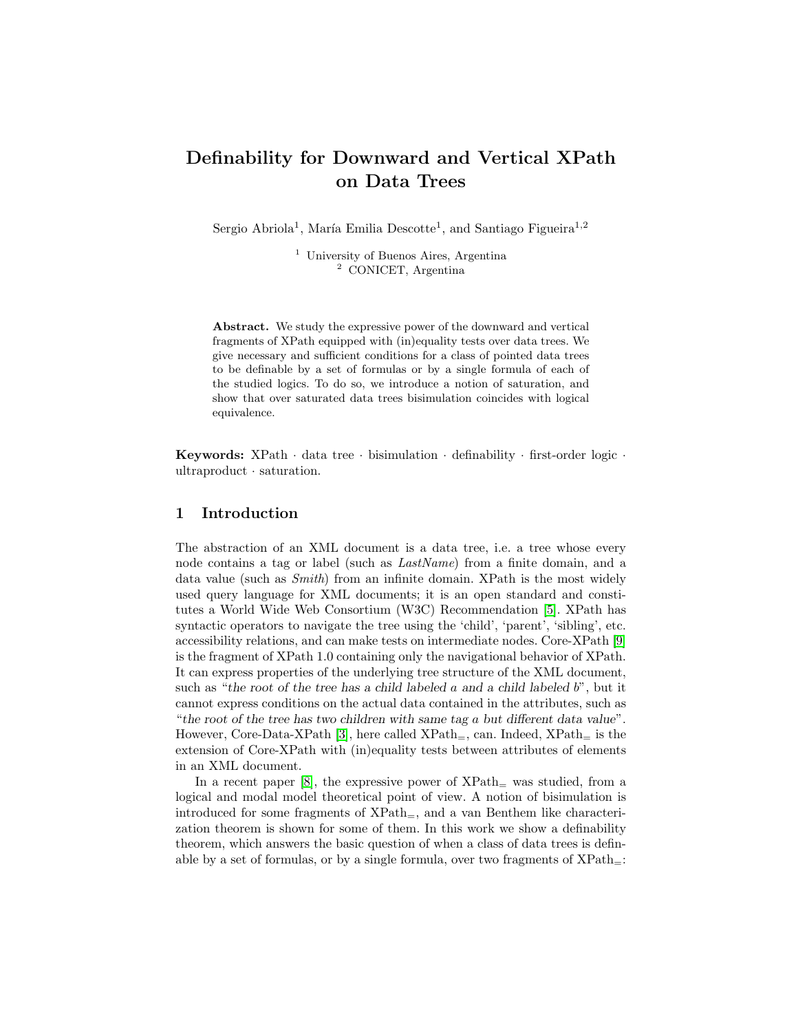# Definability for Downward and Vertical XPath on Data Trees

Sergio Abriola<sup>1</sup>, María Emilia Descotte<sup>1</sup>, and Santiago Figueira<sup>1,2</sup>

<sup>1</sup> University of Buenos Aires, Argentina <sup>2</sup> CONICET, Argentina

Abstract. We study the expressive power of the downward and vertical fragments of XPath equipped with (in)equality tests over data trees. We give necessary and sufficient conditions for a class of pointed data trees to be definable by a set of formulas or by a single formula of each of the studied logics. To do so, we introduce a notion of saturation, and show that over saturated data trees bisimulation coincides with logical equivalence.

Keywords: XPath · data tree · bisimulation · definability · first-order logic · ultraproduct · saturation.

## 1 Introduction

The abstraction of an XML document is a data tree, i.e. a tree whose every node contains a tag or label (such as LastName) from a finite domain, and a data value (such as Smith) from an infinite domain. XPath is the most widely used query language for XML documents; it is an open standard and constitutes a World Wide Web Consortium (W3C) Recommendation [\[5\]](#page-14-0). XPath has syntactic operators to navigate the tree using the 'child', 'parent', 'sibling', etc. accessibility relations, and can make tests on intermediate nodes. Core-XPath [\[9\]](#page-14-1) is the fragment of XPath 1.0 containing only the navigational behavior of XPath. It can express properties of the underlying tree structure of the XML document, such as "the root of the tree has a child labeled  $a$  and a child labeled  $b$ ", but it cannot express conditions on the actual data contained in the attributes, such as "the root of the tree has two children with same tag a but different data value". However, Core-Data-XPath [\[3\]](#page-14-2), here called  $XPath_{=}$ , can. Indeed,  $XPath_{=}$  is the extension of Core-XPath with (in)equality tests between attributes of elements in an XML document.

In a recent paper [\[8\]](#page-14-3), the expressive power of  $XPath<sub>=</sub>$  was studied, from a logical and modal model theoretical point of view. A notion of bisimulation is introduced for some fragments of  $XPath_{=}$ , and a van Benthem like characterization theorem is shown for some of them. In this work we show a definability theorem, which answers the basic question of when a class of data trees is definable by a set of formulas, or by a single formula, over two fragments of  $XPath$ =: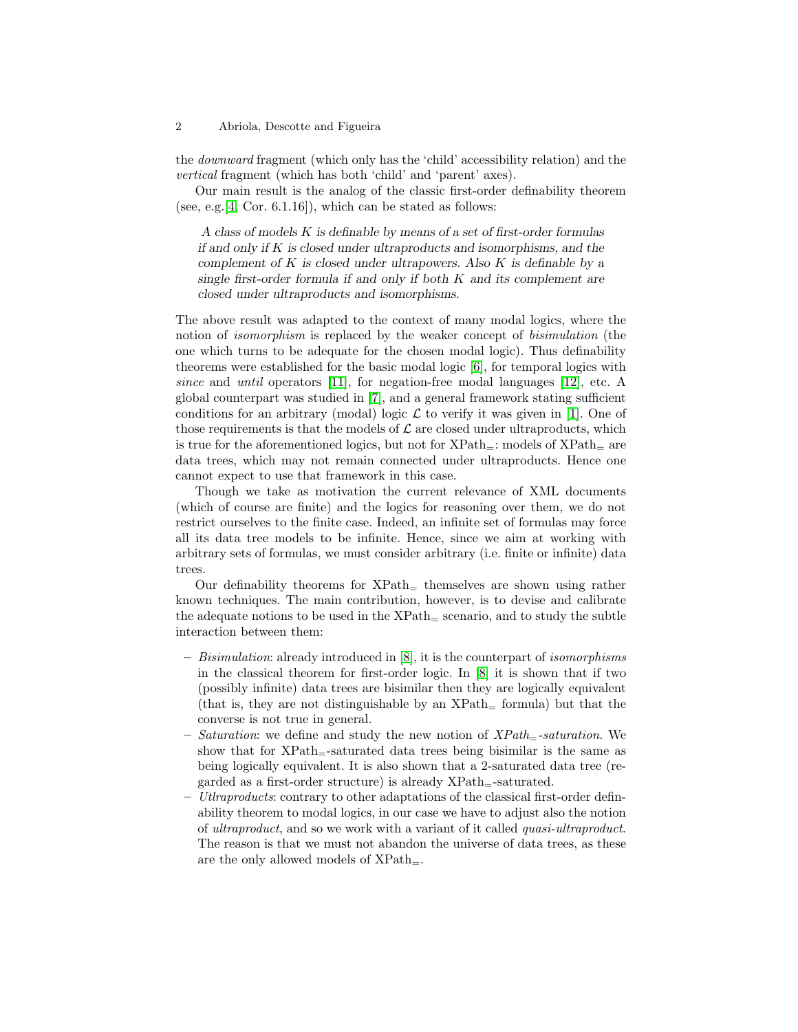the downward fragment (which only has the 'child' accessibility relation) and the vertical fragment (which has both 'child' and 'parent' axes).

Our main result is the analog of the classic first-order definability theorem (see, e.g.  $[4, \text{Cor. } 6.1.16]$  $[4, \text{Cor. } 6.1.16]$ ), which can be stated as follows:

A class of models K is definable by means of a set of first-order formulas if and only if  $K$  is closed under ultraproducts and isomorphisms, and the complement of  $K$  is closed under ultrapowers. Also  $K$  is definable by a single first-order formula if and only if both  $K$  and its complement are closed under ultraproducts and isomorphisms.

The above result was adapted to the context of many modal logics, where the notion of isomorphism is replaced by the weaker concept of bisimulation (the one which turns to be adequate for the chosen modal logic). Thus definability theorems were established for the basic modal logic [\[6\]](#page-14-5), for temporal logics with since and until operators [\[11\]](#page-14-6), for negation-free modal languages [\[12\]](#page-14-7), etc. A global counterpart was studied in [\[7\]](#page-14-8), and a general framework stating sufficient conditions for an arbitrary (modal) logic  $\mathcal L$  to verify it was given in [\[1\]](#page-14-9). One of those requirements is that the models of  $\mathcal L$  are closed under ultraproducts, which is true for the aforementioned logics, but not for  $XPath$ <sub>=</sub>: models of  $XPath$ <sub>=</sub> are data trees, which may not remain connected under ultraproducts. Hence one cannot expect to use that framework in this case.

Though we take as motivation the current relevance of XML documents (which of course are finite) and the logics for reasoning over them, we do not restrict ourselves to the finite case. Indeed, an infinite set of formulas may force all its data tree models to be infinite. Hence, since we aim at working with arbitrary sets of formulas, we must consider arbitrary (i.e. finite or infinite) data trees.

Our definability theorems for  $XPath<sub>+</sub>$  themselves are shown using rather known techniques. The main contribution, however, is to devise and calibrate the adequate notions to be used in the  $XPath<sub>=</sub>$  scenario, and to study the subtle interaction between them:

- Bisimulation: already introduced in [\[8\]](#page-14-3), it is the counterpart of isomorphisms in the classical theorem for first-order logic. In [\[8\]](#page-14-3) it is shown that if two (possibly infinite) data trees are bisimilar then they are logically equivalent (that is, they are not distinguishable by an  $XPath_{\pm}$  formula) but that the converse is not true in general.
- Saturation: we define and study the new notion of  $XPath_{\pm}$ -saturation. We show that for XPath=-saturated data trees being bisimilar is the same as being logically equivalent. It is also shown that a 2-saturated data tree (regarded as a first-order structure) is already  $XPath$ <sub>=</sub>-saturated.
- $-$  *Utlraproducts:* contrary to other adaptations of the classical first-order definability theorem to modal logics, in our case we have to adjust also the notion of ultraproduct, and so we work with a variant of it called quasi-ultraproduct. The reason is that we must not abandon the universe of data trees, as these are the only allowed models of  $XPath_$ .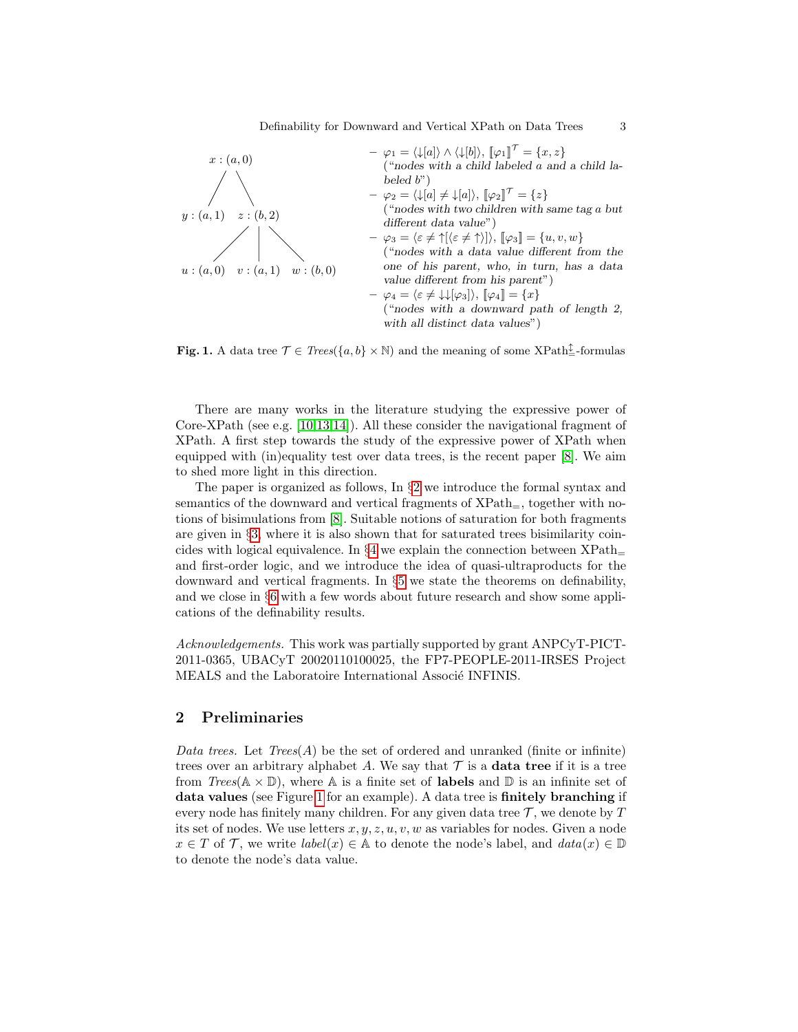

<span id="page-2-1"></span>**Fig. 1.** A data tree  $\mathcal{T} \in \text{Trees}(\{a, b\} \times \mathbb{N})$  and the meaning of some XPath<sup> $\frac{\uparrow}{\pm}$ -formulas</sup>

There are many works in the literature studying the expressive power of Core-XPath (see e.g. [\[10](#page-14-10)[,13,](#page-14-11)[14\]](#page-14-12)). All these consider the navigational fragment of XPath. A first step towards the study of the expressive power of XPath when equipped with (in)equality test over data trees, is the recent paper [\[8\]](#page-14-3). We aim to shed more light in this direction.

The paper is organized as follows, In §[2](#page-2-0) we introduce the formal syntax and semantics of the downward and vertical fragments of  $XPath<sub>=</sub>$ , together with notions of bisimulations from [\[8\]](#page-14-3). Suitable notions of saturation for both fragments are given in §[3,](#page-4-0) where it is also shown that for saturated trees bisimilarity coincides with logical equivalence. In  $\S 4$  $\S 4$  we explain the connection between  $XPath$ and first-order logic, and we introduce the idea of quasi-ultraproducts for the downward and vertical fragments. In §[5](#page-10-0) we state the theorems on definability, and we close in §[6](#page-13-0) with a few words about future research and show some applications of the definability results.

Acknowledgements. This work was partially supported by grant ANPCyT-PICT-2011-0365, UBACyT 20020110100025, the FP7-PEOPLE-2011-IRSES Project MEALS and the Laboratoire International Associé INFINIS.

# <span id="page-2-0"></span>2 Preliminaries

Data trees. Let  $Trees(A)$  be the set of ordered and unranked (finite or infinite) trees over an arbitrary alphabet A. We say that  $\mathcal T$  is a **data tree** if it is a tree from  $Trees(\mathbb{A} \times \mathbb{D})$ , where  $\mathbb{A}$  is a finite set of **labels** and  $\mathbb{D}$  is an infinite set of data values (see Figure [1](#page-2-1) for an example). A data tree is finitely branching if every node has finitely many children. For any given data tree  $\mathcal{T}$ , we denote by  $T$ its set of nodes. We use letters  $x, y, z, u, v, w$  as variables for nodes. Given a node  $x \in T$  of  $\mathcal T$ , we write  $label(x) \in A$  to denote the node's label, and  $data(x) \in \mathbb D$ to denote the node's data value.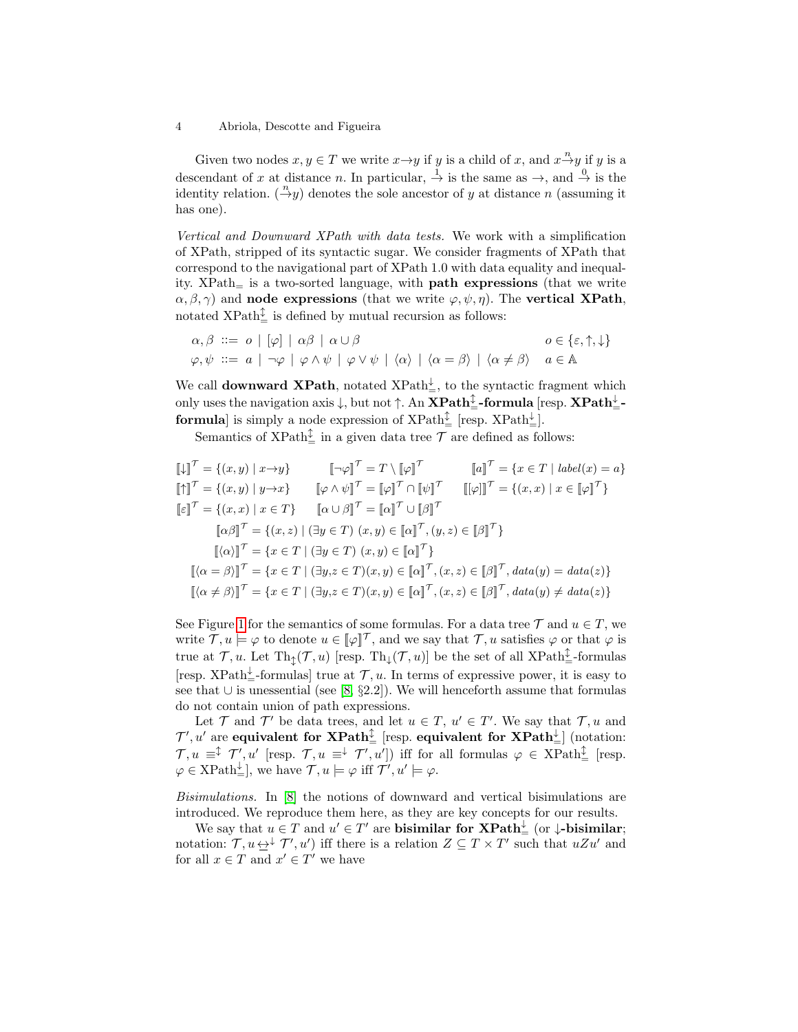Given two nodes  $x, y \in T$  we write  $x \rightarrow y$  if y is a child of x, and  $x \rightarrow y$  if y is a descendant of x at distance n. In particular,  $\stackrel{1}{\rightarrow}$  is the same as  $\rightarrow$ , and  $\stackrel{0}{\rightarrow}$  is the identity relation.  $\left(\frac{n}{y}\right)$  denotes the sole ancestor of y at distance n (assuming it has one).

Vertical and Downward XPath with data tests. We work with a simplification of XPath, stripped of its syntactic sugar. We consider fragments of XPath that correspond to the navigational part of XPath 1.0 with data equality and inequality.  $XPath<sub>=</sub>$  is a two-sorted language, with **path expressions** (that we write  $\alpha, \beta, \gamma$ ) and node expressions (that we write  $\varphi, \psi, \eta$ ). The vertical XPath, notated  $XPath_{\pm}^{\updownarrow}$  is defined by mutual recursion as follows:

$$
\alpha, \beta \ ::= o \mid [\varphi] \mid \alpha \beta \mid \alpha \cup \beta
$$
\n
$$
\varphi, \psi ::= a \mid \neg \varphi \mid \varphi \land \psi \mid \varphi \lor \psi \mid \langle \alpha \rangle \mid \langle \alpha = \beta \rangle \mid \langle \alpha \neq \beta \rangle \quad a \in \mathbb{A}
$$

We call **downward XPath**, notated  $XPath_{=}^{\perp}$ , to the syntactic fragment which only uses the navigation axis  $\downarrow$ , but not  $\uparrow$ . An  $\mathbf{XPath}^\updownarrow_-$ -formula [resp.  $\mathbf{XPath}^\downarrow_-$ **formula** is simply a node expression of  $XPath_{=}^{\updownarrow}$  [resp.  $XPath_{=}^{\downarrow}$ ].

Semantics of XPath<sup> $\hat{\updownarrow}$ </sup> in a given data tree  $\mathcal T$  are defined as follows:

$$
\llbracket \downarrow \rrbracket^{\mathcal{T}} = \{(x, y) \mid x \to y\} \qquad \llbracket \neg \varphi \rrbracket^{\mathcal{T}} = T \setminus \llbracket \varphi \rrbracket^{\mathcal{T}} \qquad \llbracket a \rrbracket^{\mathcal{T}} = \{x \in T \mid label(x) = a\} \llbracket \uparrow \rrbracket^{\mathcal{T}} = \{(x, y) \mid y \to x\} \qquad \llbracket \varphi \wedge \psi \rrbracket^{\mathcal{T}} = \llbracket \varphi \rrbracket^{\mathcal{T}} \cap \llbracket \psi \rrbracket^{\mathcal{T}} \qquad \llbracket [\varphi] \rrbracket^{\mathcal{T}} = \{(x, x) \mid x \in \llbracket \varphi \rrbracket^{\mathcal{T}}\} \llbracket a \cup \beta \rrbracket^{\mathcal{T}} = \llbracket a \rfloor^{\mathcal{T}} \cup \llbracket \beta \rrbracket^{\mathcal{T}} \llbracket \varphi \rrbracket^{\mathcal{T}} = \{(x, x) \mid x \in T\} \qquad \llbracket a \cup \beta \rrbracket^{\mathcal{T}} = \llbracket a \rfloor^{\mathcal{T}} \cup \llbracket \beta \rrbracket^{\mathcal{T}} \llbracket \alpha \beta \rrbracket^{\mathcal{T}} = \{x \in T \mid (\exists y \in T) \ (x, y) \in \llbracket a \rrbracket^{\mathcal{T}}, (y, z) \in \llbracket \beta \rrbracket^{\mathcal{T}}\} \llbracket \langle \alpha = \beta \rangle \rrbracket^{\mathcal{T}} = \{x \in T \mid (\exists y, z \in T)(x, y) \in \llbracket a \rrbracket^{\mathcal{T}}, (x, z) \in \llbracket \beta \rrbracket^{\mathcal{T}}, data(y) = data(z) \} \llbracket \langle \alpha \neq \beta \rangle \rrbracket^{\mathcal{T}} = \{x \in T \mid (\exists y, z \in T)(x, y) \in \llbracket a \rrbracket^{\mathcal{T}}, (x, z) \in \llbracket \beta \rrbracket^{\mathcal{T}}, data(y) \neq data(z) \}
$$

See Figure [1](#page-2-1) for the semantics of some formulas. For a data tree  $\mathcal T$  and  $u \in T$ , we write  $\mathcal{T}, u \models \varphi$  to denote  $u \in [\varphi]^{\mathcal{T}}$ , and we say that  $\mathcal{T}, u$  satisfies  $\varphi$  or that  $\varphi$  is true at  $\mathcal{T}, u$ . Let  $\text{Th}_{\updownarrow}(\mathcal{T}, u)$  [resp.  $\text{Th}_{\downarrow}(\mathcal{T}, u)$ ] be the set of all XPath $\hat{\downarrow}$ -formulas [resp. XPath<sup> $\downarrow$ </sup>-formulas] true at  $\mathcal{T}, u$ . In terms of expressive power, it is easy to see that ∪ is unessential (see [\[8,](#page-14-3) §2.2]). We will henceforth assume that formulas do not contain union of path expressions.

Let  $\mathcal T$  and  $\mathcal T'$  be data trees, and let  $u \in \mathcal T$ ,  $u' \in \mathcal T'$ . We say that  $\mathcal T, u$  and  $\mathcal{T}', u'$  are equivalent for  $\mathbf{XPath}^{\mathbb{C}}_{=}$  [resp. equivalent for  $\mathbf{XPath}^{\mathbb{L}}_{=}$ ] (notation:  $\mathcal{T}, u \equiv^{\updownarrow} \mathcal{T}', u'$  [resp.  $\mathcal{T}, u \equiv^{\downarrow} \mathcal{T}', u'$ ]) iff for all formulas  $\varphi \in \text{XPath}_{\equiv}^{\updownarrow}$  [resp.  $\varphi \in \text{XPath}_{\equiv}^{\downarrow}$ , we have  $\mathcal{T}, u \models \varphi$  iff  $\mathcal{T}', u' \models \varphi$ .

Bisimulations. In [\[8\]](#page-14-3) the notions of downward and vertical bisimulations are introduced. We reproduce them here, as they are key concepts for our results.

We say that  $u \in T$  and  $u' \in T'$  are **bisimilar for XPath**<sup> $\downarrow$ </sup> (or  $\downarrow$ -**bisimilar**; notation:  $\mathcal{T}, u \leftrightarrow^{\downarrow} \mathcal{T}', u'$  iff there is a relation  $Z \subseteq T \times T'$  such that  $uZu'$  and for all  $x \in T$  and  $x' \in T'$  we have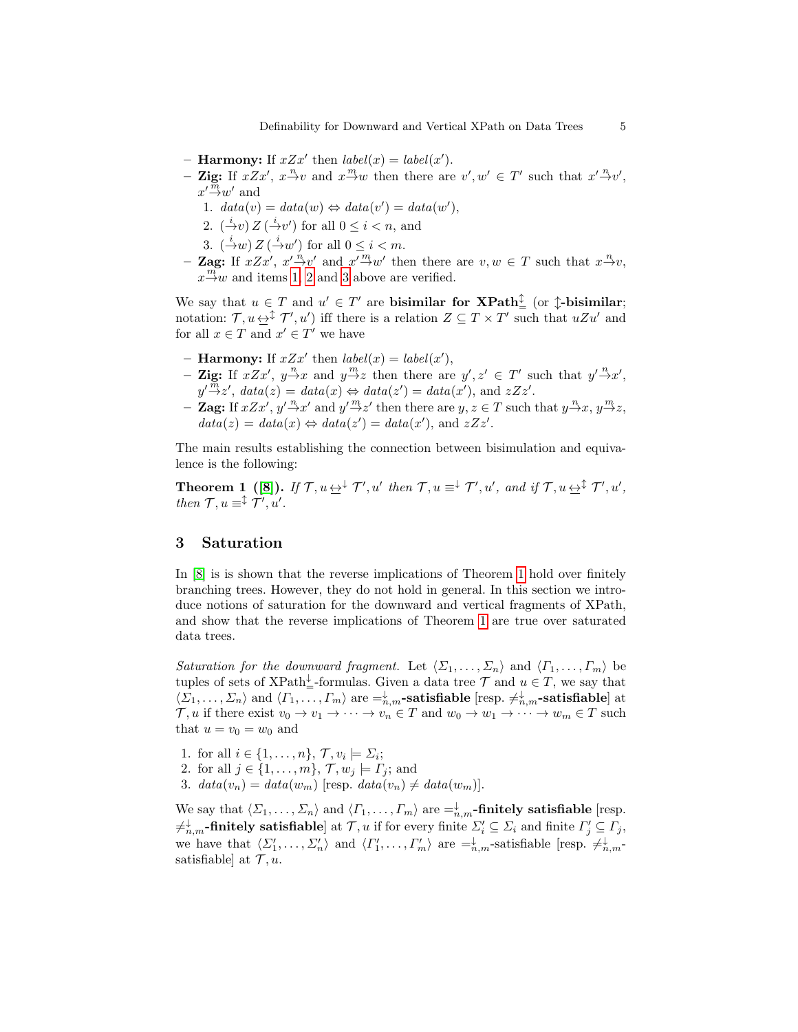- **Harmony:** If  $xZx'$  then  $label(x) = label(x')$ .
- <span id="page-4-1"></span>- Zig: If  $xZx'$ ,  $x \to v$  and  $x \to w$  then there are  $v', w' \in T'$  such that  $x' \to v'$ ,  $x' \overset{\text{m}}{\rightarrow} w'$  and
	- 1.  $data(v) = data(w) \Leftrightarrow data(v') = data(w'),$
	- 2.  $(\frac{i}{v}) Z (\frac{i}{v})$  for all  $0 \leq i < n$ , and
	- 3.  $\left(\frac{i}{2}w\right)Z\left(\frac{i}{2}w'\right)$  for all  $0 \leq i < m$ .
- <span id="page-4-3"></span><span id="page-4-2"></span>**- Zag:** If  $xZx'$ ,  $x'\stackrel{n}{\rightarrow}v'$  and  $x'\stackrel{m}{\rightarrow}w'$  then there are  $v, w \in T$  such that  $x\stackrel{n}{\rightarrow}v$ ,  $x \stackrel{m}{\rightarrow} w$  and items [1,](#page-4-1) [2](#page-4-2) and [3](#page-4-3) above are verified.

We say that  $u \in T$  and  $u' \in T'$  are **bisimilar for XPath**<sup> $\updownarrow$ </sup> (or  $\updownarrow$ -**bisimilar**; notation:  $\mathcal{T}, u \leftrightarrow^{\updownarrow} \mathcal{T}', u'$  iff there is a relation  $Z \subseteq T \times T'$  such that  $uZu'$  and for all  $x \in T$  and  $x' \in T'$  we have

- **Harmony:** If  $xZx'$  then  $label(x) = label(x')$ ,
- Zig: If  $xZx'$ ,  $y \to x$  and  $y \to z$  then there are  $y', z' \in T'$  such that  $y' \to x'$ ,  $y' \overset{m}{\rightarrow} z'$ ,  $data(z) = data(x) \Leftrightarrow data(z') = data(x')$ , and  $zZz'$ .
- **Zag:** If  $xZx'$ ,  $y'\stackrel{n}{\rightarrow}x'$  and  $y'\stackrel{m}{\rightarrow}z'$  then there are  $y, z \in T$  such that  $y\stackrel{n}{\rightarrow}x, y\stackrel{m}{\rightarrow}z$ ,  $data(z) = data(x) \Leftrightarrow data(z') = data(x')$ , and  $zZz'$ .

<span id="page-4-4"></span>The main results establishing the connection between bisimulation and equivalence is the following:

**Theorem 1** ([\[8\]](#page-14-3)). If  $\mathcal{T}, u \leftrightarrow^{\downarrow} \mathcal{T}', u'$  then  $\mathcal{T}, u \equiv^{\downarrow} \mathcal{T}', u'$ , and if  $\mathcal{T}, u \leftrightarrow^{\updownarrow} \mathcal{T}', u'$ , then  $\mathcal{T}, u \equiv^{\updownarrow} \mathcal{T}', u'.$ 

# <span id="page-4-0"></span>3 Saturation

In [\[8\]](#page-14-3) is is shown that the reverse implications of Theorem [1](#page-4-4) hold over finitely branching trees. However, they do not hold in general. In this section we introduce notions of saturation for the downward and vertical fragments of XPath, and show that the reverse implications of Theorem [1](#page-4-4) are true over saturated data trees.

Saturation for the downward fragment. Let  $\langle \Sigma_1, \ldots, \Sigma_n \rangle$  and  $\langle \Gamma_1, \ldots, \Gamma_m \rangle$  be tuples of sets of XPath<sup> $\downarrow$ </sup>-formulas. Given a data tree  $\mathcal T$  and  $u \in T$ , we say that  $\langle \Sigma_1,\ldots,\Sigma_n\rangle$  and  $\langle \Gamma_1,\ldots,\Gamma_m\rangle$  are  $=^{\downarrow}_{n,m}$ -satisfiable [resp.  $\neq^{\downarrow}_{n,m}$ -satisfiable] at  $\mathcal{T}, u$  if there exist  $v_0 \to v_1 \to \cdots \to v_n \in T$  and  $w_0 \to w_1 \to \cdots \to w_m \in T$  such that  $u = v_0 = w_0$  and

- 1. for all  $i \in \{1, \ldots, n\}, \mathcal{T}, v_i \models \Sigma_i;$
- 2. for all  $j \in \{1, \ldots, m\}$ ,  $\mathcal{T}, w_j \models \Gamma_j$ ; and
- 3.  $data(v_n) = data(w_m)$  [resp.  $data(v_n) \neq data(w_m)$ ].

We say that  $\langle \Sigma_1, \ldots, \Sigma_n \rangle$  and  $\langle \Gamma_1, \ldots, \Gamma_m \rangle$  are  $=^{\downarrow}_{n,m}$ -finitely satisfiable [resp.  $\neq^{\downarrow}_{n,m}$ -finitely satisfiable] at  $\mathcal{T}, u$  if for every finite  $\Sigma'_i \subseteq \Sigma_i$  and finite  $\Gamma'_j \subseteq \Gamma_j$ , we have that  $\langle \Sigma'_1, \ldots, \Sigma'_n \rangle$  and  $\langle \Gamma'_1, \ldots, \Gamma'_m \rangle$  are  $=^{\downarrow}_{n,m}$ -satisfiable [resp.  $\neq^{\downarrow}_{n,m}$ satisfiable] at  $\mathcal{T}, u$ .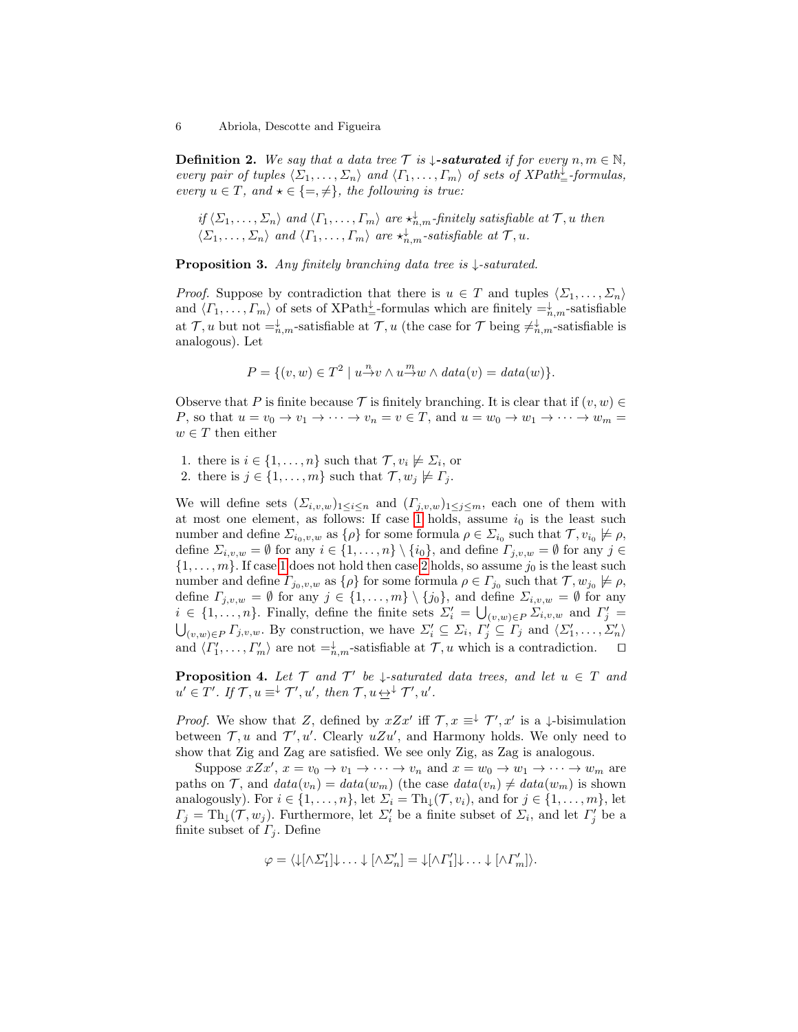**Definition 2.** We say that a data tree  $\mathcal{T}$  is  $\downarrow$ -**saturated** if for every  $n, m \in \mathbb{N}$ , every pair of tuples  $\langle \Sigma_1, \ldots, \Sigma_n \rangle$  and  $\langle \Gamma_1, \ldots, \Gamma_m \rangle$  of sets of XPath<sup> $\downarrow$ </sup> formulas, every  $u \in T$ , and  $\star \in \{=\neq\}$ , the following is true:

if  $\langle \Sigma_1,\ldots,\Sigma_n\rangle$  and  $\langle \Gamma_1,\ldots,\Gamma_m\rangle$  are  $\star_{n,m}^{\downarrow}$ -finitely satisfiable at  $\mathcal{T}, u$  then  $\langle \Sigma_1, \ldots, \Sigma_n \rangle$  and  $\langle \Gamma_1, \ldots, \Gamma_m \rangle$  are  $\star^{\downarrow}_{n,m}$ -satisfiable at  $\mathcal{T}, u$ .

**Proposition 3.** Any finitely branching data tree is  $\downarrow$ -saturated.

*Proof.* Suppose by contradiction that there is  $u \in T$  and tuples  $\langle \Sigma_1, \ldots, \Sigma_n \rangle$ and  $\langle \Gamma_1, \ldots, \Gamma_m \rangle$  of sets of XPath<sup> $\downarrow$ </sup>-formulas which are finitely  $=^{\downarrow}_{n,m}$ -satisfiable at  $\mathcal{T}, u$  but not  $=^{\downarrow}_{n,m}$ -satisfiable at  $\mathcal{T}, u$  (the case for  $\mathcal{T}$  being  $\neq^{\downarrow}_{n,m}$ -satisfiable is analogous). Let

$$
P = \{(v, w) \in T^2 \mid u \stackrel{n}{\to} v \wedge u \stackrel{m}{\to} w \wedge data(v) = data(w)\}.
$$

Observe that P is finite because  $\mathcal T$  is finitely branching. It is clear that if  $(v, w) \in$ P, so that  $u = v_0 \to v_1 \to \cdots \to v_n = v \in T$ , and  $u = w_0 \to w_1 \to \cdots \to w_m =$  $w \in T$  then either

- <span id="page-5-0"></span>1. there is  $i \in \{1, \ldots, n\}$  such that  $\mathcal{T}, v_i \not\models \Sigma_i$ , or
- <span id="page-5-1"></span>2. there is  $j \in \{1, \ldots, m\}$  such that  $\mathcal{T}, w_j \not\models \Gamma_j$ .

We will define sets  $(\Sigma_{i,v,w})_{1\leq i\leq n}$  and  $(\Gamma_{j,v,w})_{1\leq j\leq m}$ , each one of them with at most one element, as follows: If case [1](#page-5-0) holds, assume  $i_0$  is the least such number and define  $\Sigma_{i_0,v,w}$  as  $\{\rho\}$  for some formula  $\rho \in \Sigma_{i_0}$  such that  $\mathcal{T}, v_{i_0} \not\models \rho$ , define  $\Sigma_{i,v,w} = \emptyset$  for any  $i \in \{1,\ldots,n\} \setminus \{i_0\}$ , and define  $\Gamma_{j,v,w} = \emptyset$  for any  $j \in$  $\{1, \ldots, m\}$ . If case [1](#page-5-0) does not hold then case [2](#page-5-1) holds, so assume  $j_0$  is the least such number and define  $\Gamma_{j_0,v,w}$  as  $\{\rho\}$  for some formula  $\rho \in \Gamma_{j_0}$  such that  $\mathcal{T}, w_{j_0} \not\models \rho$ , define  $\Gamma_{j,v,w} = \emptyset$  for any  $j \in \{1,\ldots,m\} \setminus \{j_0\}$ , and define  $\Sigma_{i,v,w} = \emptyset$  for any  $i \in \{1, \ldots, n\}$ . Finally, define the finite sets  $\Sigma'_i = \bigcup_{(v,w)\in P} \Sigma_{i,v,w}$  and  $\Gamma'_j =$  $\bigcup_{(v,w)\in P} \Gamma_{j,v,w}$ . By construction, we have  $\Sigma'_i \subseteq \Sigma_i$ ,  $\Gamma'_j \subseteq \Gamma_j$  and  $\langle \Sigma'_1, \ldots, \Sigma'_n \rangle$ and  $\langle \Gamma'_1, \ldots, \Gamma'_m \rangle$  are not  $=^{\downarrow}_{n,m}$ -satisfiable at  $\mathcal{T}, u$  which is a contradiction.  $\Box$ 

<span id="page-5-2"></span>**Proposition 4.** Let  $\mathcal{T}$  and  $\mathcal{T}'$  be  $\downarrow$ -saturated data trees, and let  $u \in \mathcal{T}$  and  $u' \in T'$ . If  $\mathcal{T}, u \equiv^{\downarrow} \mathcal{T}'$ ,  $u'$ , then  $\mathcal{T}, u \leftrightarrow^{\downarrow} \mathcal{T}'$ ,  $u'$ .

*Proof.* We show that Z, defined by  $xZx'$  iff  $\mathcal{T}, x \equiv^{\downarrow} \mathcal{T}', x'$  is a  $\downarrow$ -bisimulation between  $\mathcal{T}, u$  and  $\mathcal{T}', u'$ . Clearly  $uZu'$ , and Harmony holds. We only need to show that Zig and Zag are satisfied. We see only Zig, as Zag is analogous.

Suppose  $xZx'$ ,  $x = v_0 \rightarrow v_1 \rightarrow \cdots \rightarrow v_n$  and  $x = w_0 \rightarrow w_1 \rightarrow \cdots \rightarrow w_m$  are paths on T, and  $data(v_n) = data(w_m)$  (the case  $data(v_n) \neq data(w_m)$  is shown analogously). For  $i \in \{1, \ldots, n\}$ , let  $\Sigma_i = \text{Th}_{\downarrow}(\mathcal{T}, v_i)$ , and for  $j \in \{1, \ldots, m\}$ , let  $\Gamma_j = \text{Th}_{\downarrow}(\mathcal{T}, w_j)$ . Furthermore, let  $\Sigma'_i$  be a finite subset of  $\Sigma_i$ , and let  $\Gamma'_j$  be a finite subset of  $\Gamma_i$ . Define

$$
\varphi = \langle \downarrow[\wedge \Sigma_1'] \downarrow \ldots \downarrow [\wedge \Sigma_n'] = \downarrow[\wedge \Gamma_1'] \downarrow \ldots \downarrow [\wedge \Gamma_m'] \rangle.
$$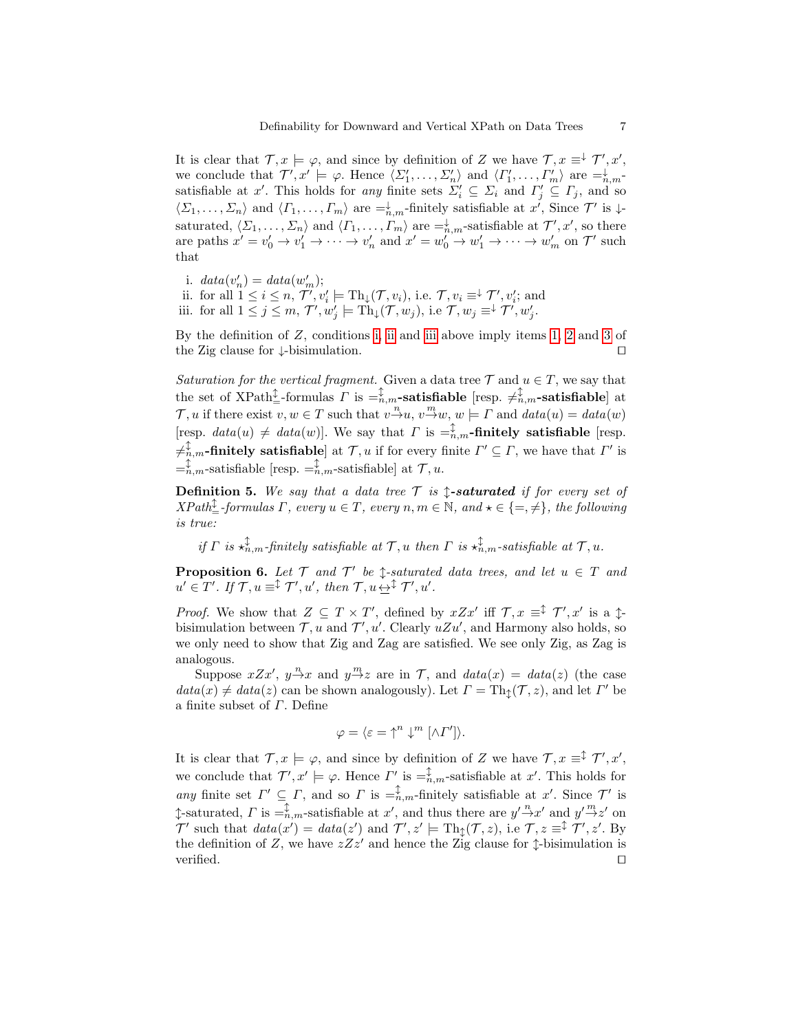It is clear that  $\mathcal{T}, x \models \varphi$ , and since by definition of Z we have  $\mathcal{T}, x \equiv^{\downarrow} \mathcal{T}', x',$ we conclude that  $\mathcal{T}', x' \models \varphi$ . Hence  $\langle \Sigma'_1, \ldots, \Sigma'_n \rangle$  and  $\langle \Gamma'_1, \ldots, \Gamma'_m \rangle$  are  $=^{\downarrow}_{n,m}$ satisfiable at x'. This holds for any finite sets  $\Sigma_i' \subseteq \Sigma_i$  and  $\Gamma_j' \subseteq \Gamma_j$ , and so  $\langle \Sigma_1,\ldots,\Sigma_n\rangle$  and  $\langle \Gamma_1,\ldots,\Gamma_m\rangle$  are  $\equiv_{n,m}^{\downarrow}$ -finitely satisfiable at x', Since  $\mathcal{T}'$  is  $\downarrow$ saturated,  $\langle \Sigma_1, \ldots, \Sigma_n \rangle$  and  $\langle \Gamma_1, \ldots, \Gamma_m \rangle$  are  $=^{\downarrow}_{n,m}$ -satisfiable at  $\mathcal{T}', x'$ , so there are paths  $x' = v'_0 \to v'_1 \to \cdots \to v'_n$  and  $x' = w'_0 \to w'_1 \to \cdots \to w'_m$  on  $\mathcal{T}'$  such that

<span id="page-6-0"></span>i.  $data(v'_n) = data(w'_m);$ 

<span id="page-6-2"></span><span id="page-6-1"></span>ii. for all  $1 \leq i \leq n$ ,  $\mathcal{T}', v'_i \models \text{Th}_{\downarrow}(\mathcal{T}, v_i)$ , i.e.  $\mathcal{T}, v_i \equiv^{\downarrow} \mathcal{T}', v'_i$ ; and iii. for all  $1 \leq j \leq m$ ,  $\mathcal{T}', w'_j \models \text{Th}_{\downarrow}(\mathcal{T}, w_j)$ , i.e  $\mathcal{T}, w_j \equiv^{\downarrow} \mathcal{T}', w'_j$ .

By the definition of  $Z$ , conditions [i,](#page-6-0) [ii](#page-6-1) and [iii](#page-6-2) above imply items [1,](#page-4-1) [2](#page-4-2) and [3](#page-4-3) of the Zig clause for  $\downarrow$ -bisimulation.  $\square$ 

Saturation for the vertical fragment. Given a data tree  $\mathcal T$  and  $u \in T$ , we say that the set of XPath<sup> $\downarrow$ </sup>-formulas  $\Gamma$  is  $=\,^{\downarrow}_{n,m}$ -satisfiable [resp.  $\neq^{\updownarrow}_{n,m}$ -satisfiable] at  $\mathcal{T}, u$  if there exist  $v, w \in T$  such that  $v \stackrel{n}{\rightarrow} u, v \stackrel{m}{\rightarrow} w, w \models \Gamma$  and  $data(u) = data(w)$ [resp.  $data(u) \neq data(w)$ ]. We say that  $\Gamma$  is  $=\hat{t}_{n,m}$ -finitely satisfiable [resp.  $\neq_{n,m}^{\updownarrow}$ -finitely satisfiable] at  $\mathcal{T}, u$  if for every finite  $\varGamma' \subseteq \varGamma$ , we have that  $\varGamma'$  is  $=$ n,m-satisfiable [resp.  $=$ n,m-satisfiable] at  $\mathcal{T}, u$ .

**Definition 5.** We say that a data tree  $\mathcal{T}$  is  $\uparrow$ -**saturated** if for every set of  $XPath_{\pm}^{\updownarrow}$ -formulas  $\Gamma$ , every  $u \in T$ , every  $n, m \in \mathbb{N}$ , and  $\star \in \{=, \neq\}$ , the following is true:

if  $\Gamma$  is  $\star_{n,m}^{\updownarrow}$ -finitely satisfiable at  $\mathcal{T}, u$  then  $\Gamma$  is  $\star_{n,m}^{\updownarrow}$ -satisfiable at  $\mathcal{T}, u$ .

<span id="page-6-3"></span>**Proposition 6.** Let  $\mathcal{T}$  and  $\mathcal{T}'$  be  $\updownarrow$ -saturated data trees, and let  $u \in \mathcal{T}$  and  $u' \in T'$ . If  $\mathcal{T}, u \equiv^{\updownarrow} \mathcal{T}', u'$ , then  $\mathcal{T}, u \not\rightleftharpoons^{\updownarrow} \mathcal{T}', u'$ .

*Proof.* We show that  $Z \subseteq T \times T'$ , defined by  $xZx'$  iff  $\mathcal{T}, x \equiv^{\hat{\downarrow}} \mathcal{T}', x'$  is a  $\hat{\downarrow}$ bisimulation between  $\mathcal{T}, u$  and  $\mathcal{T}', u'$ . Clearly  $uZu'$ , and Harmony also holds, so we only need to show that Zig and Zag are satisfied. We see only Zig, as Zag is analogous.

Suppose  $xZx'$ ,  $y \stackrel{n}{\rightarrow} x$  and  $y \stackrel{m}{\rightarrow} z$  are in T, and  $data(x) = data(z)$  (the case  $data(x) \neq data(z)$  can be shown analogously). Let  $\Gamma = \text{Th}_{\updownarrow}(\mathcal{T}, z)$ , and let  $\Gamma'$  be a finite subset of  $\Gamma$ . Define

$$
\varphi = \langle \varepsilon = \uparrow^n \downarrow^m [\wedge \Gamma'] \rangle.
$$

It is clear that  $\mathcal{T}, x \models \varphi$ , and since by definition of Z we have  $\mathcal{T}, x \equiv^{\hat{\downarrow}} \mathcal{T}', x',$ we conclude that  $\mathcal{T}', x' \models \varphi$ . Hence  $\Gamma'$  is  $=_{n,m}^{\updownarrow}$ -satisfiable at  $x'$ . This holds for any finite set  $\Gamma' \subseteq \Gamma$ , and so  $\Gamma$  is  $=_{n,m}^{\updownarrow}$ -finitely satisfiable at x'. Since  $\mathcal{T}'$  is  $\updownarrow$ -saturated,  $\Gamma$  is  $=$ <sup> $\updownarrow$ </sup>,  $_m$ -satisfiable at  $x'$ , and thus there are  $y' \stackrel{n}{\rightarrow} x'$  and  $y' \stackrel{m}{\rightarrow} z'$  on  $\mathcal{T}'$  such that  $data(x') = data(z')$  and  $\mathcal{T}', z' \models Th_{\updownarrow}(\mathcal{T}, z)$ , i.e  $\mathcal{T}, z \equiv^{\updownarrow} \mathcal{T}', z'$ . By the definition of Z, we have  $zZz'$  and hence the Zig clause for  $\uparrow$ -bisimulation is verified.  $\Box$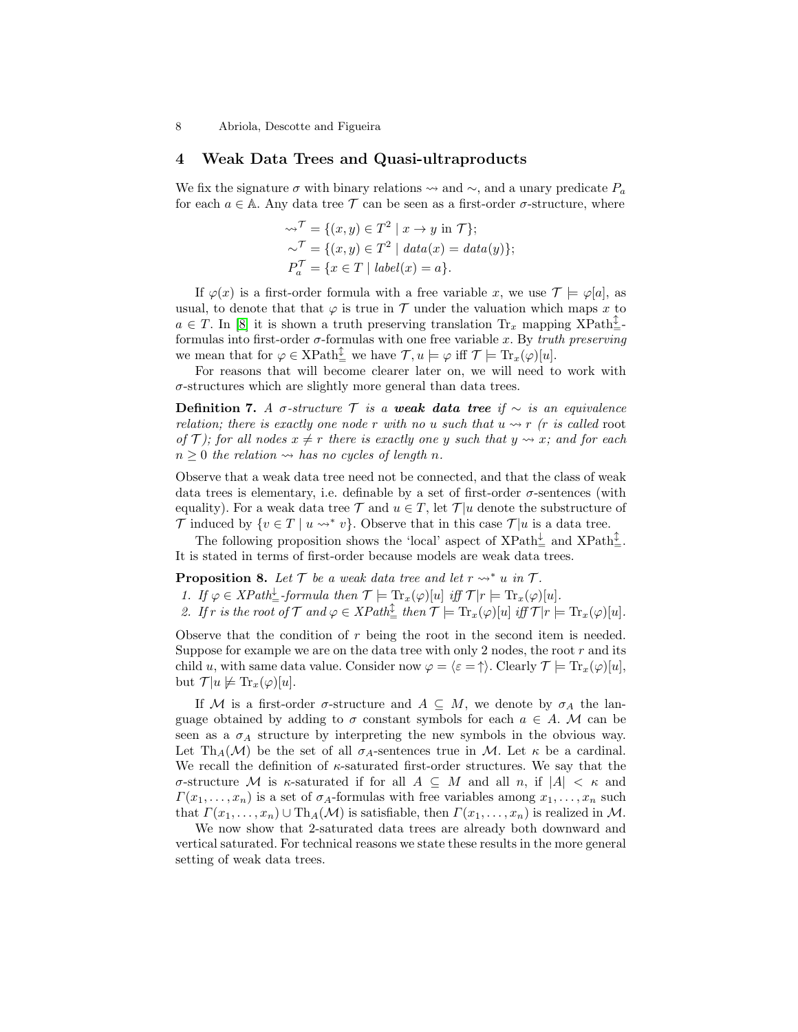## <span id="page-7-0"></span>4 Weak Data Trees and Quasi-ultraproducts

We fix the signature  $\sigma$  with binary relations  $\sim$  and  $\sim$ , and a unary predicate  $P_a$ for each  $a \in A$ . Any data tree  $\mathcal T$  can be seen as a first-order  $\sigma$ -structure, where

$$
\begin{aligned}\n\leadsto^{\mathcal{T}} &= \{ (x, y) \in T^2 \mid x \to y \text{ in } \mathcal{T} \}; \\
\leadsto^{\mathcal{T}} &= \{ (x, y) \in T^2 \mid data(x) = data(y) \}; \\
P_a^{\mathcal{T}} &= \{ x \in T \mid label(x) = a \}.\n\end{aligned}
$$

If  $\varphi(x)$  is a first-order formula with a free variable x, we use  $\mathcal{T} \models \varphi[a]$ , as usual, to denote that that  $\varphi$  is true in  $\mathcal T$  under the valuation which maps x to  $a \in T$ . In [\[8\]](#page-14-3) it is shown a truth preserving translation  $\text{Tr}_x$  mapping  $\text{XPath}^{\updownarrow}_{\equiv}$ formulas into first-order  $\sigma$ -formulas with one free variable x. By truth preserving we mean that for  $\varphi \in \text{XPath}_{\equiv}^{\updownarrow}$  we have  $\mathcal{T}, u \models \varphi$  iff  $\mathcal{T} \models \text{Tr}_x(\varphi)[u]$ .

For reasons that will become clearer later on, we will need to work with σ-structures which are slightly more general than data trees.

Definition 7. A σ-structure  $\mathcal T$  is a weak data tree if  $\sim$  is an equivalence relation; there is exactly one node r with no u such that  $u \rightarrow r$  (r is called root of T); for all nodes  $x \neq r$  there is exactly one y such that  $y \rightsquigarrow x$ ; and for each  $n \geq 0$  the relation  $\rightsquigarrow$  has no cycles of length n.

Observe that a weak data tree need not be connected, and that the class of weak data trees is elementary, i.e. definable by a set of first-order  $\sigma$ -sentences (with equality). For a weak data tree  $\mathcal T$  and  $u \in T$ , let  $\mathcal T | u$  denote the substructure of T induced by  $\{v \in T \mid u \leadsto^* v\}$ . Observe that in this case  $\mathcal{T}|u$  is a data tree.

The following proposition shows the 'local' aspect of  $\text{XPath}^{\downarrow}_{\equiv}$  and  $\text{XPath}^{\updownarrow}_{\equiv}$ . It is stated in terms of first-order because models are weak data trees.

**Proposition 8.** Let  $\mathcal{T}$  be a weak data tree and let  $r \rightarrow^* u$  in  $\mathcal{T}$ .

<span id="page-7-3"></span><span id="page-7-2"></span><span id="page-7-1"></span>1. If  $\varphi \in XPath_{=}^{\downarrow}$ -formula then  $\mathcal{T} \models \text{Tr}_{x}(\varphi)[u]$  iff  $\mathcal{T}|r \models \text{Tr}_{x}(\varphi)[u]$ . 2. If r is the root of  $\mathcal T$  and  $\varphi \in XPath_{\equiv}^{\mathbb L}$  then  $\mathcal T \models \mathrm{Tr}_x(\varphi)[u]$  iff  $\mathcal T | r \models \mathrm{Tr}_x(\varphi)[u]$ .

Observe that the condition of r being the root in the second item is needed. Suppose for example we are on the data tree with only 2 nodes, the root  $r$  and its child u, with same data value. Consider now  $\varphi = \langle \varepsilon = \uparrow \rangle$ . Clearly  $\mathcal{T} \models \text{Tr}_x(\varphi)[u],$ but  $\mathcal{T}|u \not\models \text{Tr}_x(\varphi)[u].$ 

If M is a first-order  $\sigma$ -structure and  $A \subseteq M$ , we denote by  $\sigma_A$  the language obtained by adding to  $\sigma$  constant symbols for each  $a \in A$ . M can be seen as a  $\sigma_A$  structure by interpreting the new symbols in the obvious way. Let Th<sub>A</sub>(M) be the set of all  $\sigma_A$ -sentences true in M. Let  $\kappa$  be a cardinal. We recall the definition of  $\kappa$ -saturated first-order structures. We say that the σ-structure M is κ-saturated if for all A ⊆ M and all n, if |A| < κ and  $\Gamma(x_1,\ldots,x_n)$  is a set of  $\sigma_A$ -formulas with free variables among  $x_1,\ldots,x_n$  such that  $\Gamma(x_1, \ldots, x_n) \cup Th_A(\mathcal{M})$  is satisfiable, then  $\Gamma(x_1, \ldots, x_n)$  is realized in M.

<span id="page-7-4"></span>We now show that 2-saturated data trees are already both downward and vertical saturated. For technical reasons we state these results in the more general setting of weak data trees.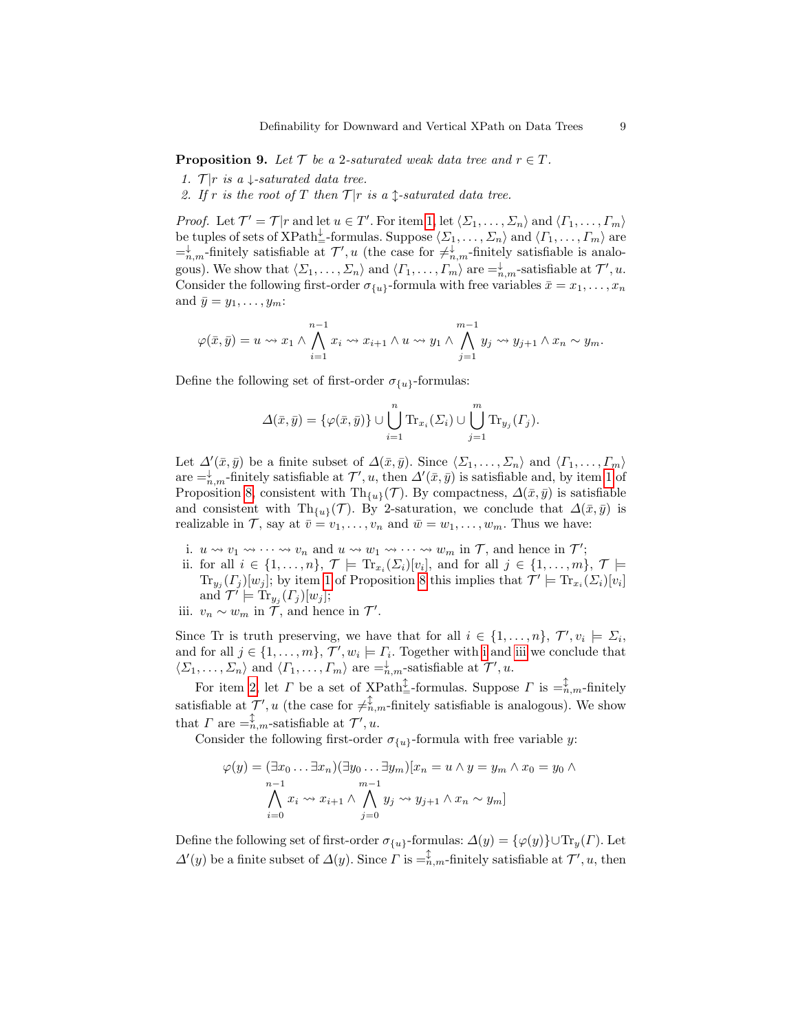**Proposition 9.** Let  $\mathcal{T}$  be a 2-saturated weak data tree and  $r \in \mathcal{T}$ .

- <span id="page-8-0"></span>1.  $\mathcal{T}|r$  is a  $\downarrow$ -saturated data tree.
- <span id="page-8-3"></span>2. If r is the root of T then  $\mathcal{T}|r$  is a  $\uparrow$ -saturated data tree.

*Proof.* Let  $\mathcal{T}' = \mathcal{T}|r$  and let  $u \in \mathcal{T}'$ . For item [1,](#page-8-0) let  $\langle \Sigma_1, \ldots, \Sigma_n \rangle$  and  $\langle \Gamma_1, \ldots, \Gamma_m \rangle$ be tuples of sets of  $XPath_{\pm}^{\downarrow}$ -formulas. Suppose  $\langle \Sigma_1, \ldots, \Sigma_n \rangle$  and  $\langle \Gamma_1, \ldots, \Gamma_m \rangle$  are  $=^{\downarrow}_{n,m}$ -finitely satisfiable at  $\mathcal{T}'$ , u (the case for  $\neq^{\downarrow}_{n,m}$ -finitely satisfiable is analogous). We show that  $\langle \Sigma_1, \ldots, \Sigma_n \rangle$  and  $\langle \Gamma_1, \ldots, \Gamma_m \rangle$  are  $=^{\downarrow}_{n,m}$ -satisfiable at  $\mathcal{T}', u$ . Consider the following first-order  $\sigma_{\{u\}}$ -formula with free variables  $\bar{x} = x_1, \ldots, x_n$ and  $\bar{y} = y_1, \ldots, y_m$ :

$$
\varphi(\bar{x}, \bar{y}) = u \leadsto x_1 \land \bigwedge_{i=1}^{n-1} x_i \leadsto x_{i+1} \land u \leadsto y_1 \land \bigwedge_{j=1}^{m-1} y_j \leadsto y_{j+1} \land x_n \sim y_m.
$$

Define the following set of first-order  $\sigma_{\{u\}}$ -formulas:

$$
\Delta(\bar{x}, \bar{y}) = {\varphi(\bar{x}, \bar{y})} \cup \bigcup_{i=1}^{n} \text{Tr}_{x_i}(\Sigma_i) \cup \bigcup_{j=1}^{m} \text{Tr}_{y_j}(\Gamma_j).
$$

Let  $\Delta'(\bar{x}, \bar{y})$  be a finite subset of  $\Delta(\bar{x}, \bar{y})$ . Since  $\langle \Sigma_1, \ldots, \Sigma_n \rangle$  and  $\langle \Gamma_1, \ldots, \Gamma_m \rangle$ are  $=\,^{\downarrow}_{n,m}$ -finitely satisfiable at  $\mathcal{T}'$ , u, then  $\Delta'(\bar{x}, \bar{y})$  is satisfiable and, by item [1](#page-7-1) of Proposition [8,](#page-7-2) consistent with Th<sub>{u}</sub>(T). By compactness,  $\Delta(\bar{x}, \bar{y})$  is satisfiable and consistent with Th<sub>{u}</sub>( $\mathcal{T}$ ). By 2-saturation, we conclude that  $\Delta(\bar{x}, \bar{y})$  is realizable in  $\mathcal{T}$ , say at  $\bar{v} = v_1, \ldots, v_n$  and  $\bar{w} = w_1, \ldots, w_m$ . Thus we have:

- <span id="page-8-1"></span>i.  $u \rightsquigarrow v_1 \rightsquigarrow \cdots \rightsquigarrow v_n$  and  $u \rightsquigarrow w_1 \rightsquigarrow \cdots \rightsquigarrow w_m$  in  $\mathcal{T}$ , and hence in  $\mathcal{T}'$ ;
- ii. for all  $i \in \{1, \ldots, n\}$ ,  $\mathcal{T} \models \text{Tr}_{x_i}(\Sigma_i)[v_i]$ , and for all  $j \in \{1, \ldots, m\}$ ,  $\mathcal{T} \models$  $\text{Tr}_{y_j}(T_j)[w_j];$  by item [1](#page-7-1) of Proposition [8](#page-7-2) this implies that  $\mathcal{T}' \models \text{Tr}_{x_i}(\Sigma_i)[v_i]$ and  $\mathcal{T}' \models \text{Tr}_{y_j}(\Gamma_j)[w_j];$
- <span id="page-8-2"></span>iii.  $v_n \sim w_m$  in  $\mathcal{T}$ , and hence in  $\mathcal{T}'$ .

Since Tr is truth preserving, we have that for all  $i \in \{1, \ldots, n\}$ ,  $\mathcal{T}', v_i \models \Sigma_i$ , and for all  $j \in \{1, ..., m\}$ ,  $\mathcal{T}', w_i \models \Gamma_i$ . Together with [i](#page-8-1) and [iii](#page-8-2) we conclude that  $\langle \Sigma_1, \ldots, \Sigma_n \rangle$  and  $\langle \Gamma_1, \ldots, \Gamma_m \rangle$  are  $=^{\downarrow}_{n,m}$ -satisfiable at  $\mathcal{T}', u$ .

For item [2,](#page-8-3) let  $\Gamma$  be a set of XPath<sup> $\updownarrow$ </sup> -formulas. Suppose  $\Gamma$  is  $=\stackrel{\updownarrow}{n}, m$ -finitely satisfiable at  $\mathcal{T}', u$  (the case for  $\neq_{n,m}^{\mathcal{T}}$ -finitely satisfiable is analogous). We show that  $\Gamma$  are  $=\hat{h}_{m,m}^{\uparrow}$ -satisfiable at  $\mathcal{T}'$ , u.

Consider the following first-order  $\sigma_{\{u\}}$ -formula with free variable y:

$$
\varphi(y) = (\exists x_0 \dots \exists x_n)(\exists y_0 \dots \exists y_m)[x_n = u \land y = y_m \land x_0 = y_0 \land x_0 = y_0 \land x_0 = y_0 \land x_0 = y_0 \land x_0 = y_0 \land x_0 = y_0 \land x_0 = y_0 \land y_0 = y_0 \land y_0 = y_0
$$

Define the following set of first-order  $\sigma_{\{u\}}$ -formulas:  $\Delta(y) = {\varphi(y)} \cup \text{Tr}_y(\Gamma)$ . Let  $\Delta'(y)$  be a finite subset of  $\Delta(y)$ . Since  $\Gamma$  is  $=\widehat{\lambda}_m$ -finitely satisfiable at  $\mathcal{T}', u$ , then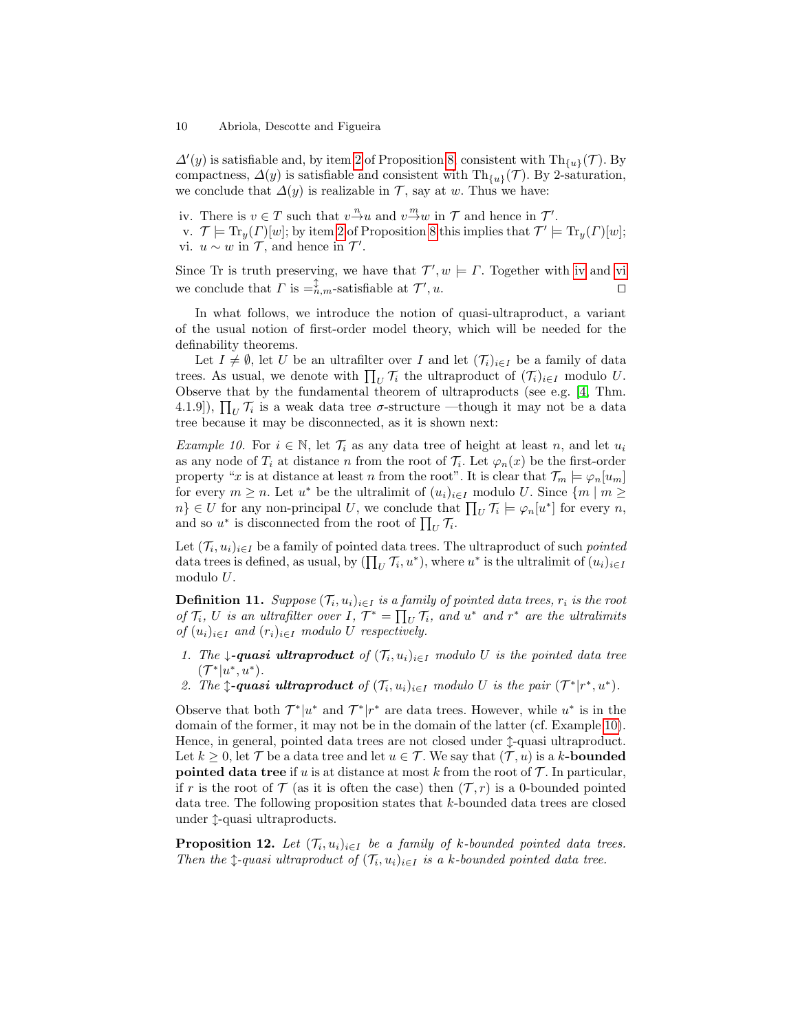$\Delta'(y)$  is satisfiable and, by item [2](#page-7-3) of Proposition [8,](#page-7-2) consistent with  $\text{Th}_{\{u\}}(\mathcal{T})$ . By compactness,  $\Delta(y)$  is satisfiable and consistent with Th<sub>{u}</sub>( $\mathcal{T}$ ). By 2-saturation, we conclude that  $\Delta(y)$  is realizable in  $\mathcal{T}$ , say at w. Thus we have:

<span id="page-9-0"></span>iv. There is  $v \in T$  such that  $v \stackrel{n}{\rightarrow} u$  and  $v \stackrel{m}{\rightarrow} w$  in  $T$  and hence in  $T'$ .

<span id="page-9-1"></span>v.  $\mathcal{T} \models \text{Tr}_y(\Gamma)[w]$ ; by item [2](#page-7-3) of Proposition [8](#page-7-2) this implies that  $\mathcal{T}' \models \text{Tr}_y(\Gamma)[w]$ ; vi.  $u \sim w$  in  $\mathcal{T}$ , and hence in  $\mathcal{T}'$ .

Since Tr is truth preserving, we have that  $\mathcal{T}', w \models \Gamma$ . Together with [iv](#page-9-0) and [vi](#page-9-1) we conclude that  $\Gamma$  is  $=$ <sub>n</sub><sup> $\updownarrow$ </sup>,<sub>m</sub>-satisfiable at  $\mathcal{T}'$ ,  $u$ .

In what follows, we introduce the notion of quasi-ultraproduct, a variant of the usual notion of first-order model theory, which will be needed for the definability theorems.

Let  $I \neq \emptyset$ , let U be an ultrafilter over I and let  $(\mathcal{T}_i)_{i \in I}$  be a family of data trees. As usual, we denote with  $\prod_U \mathcal{T}_i$  the ultraproduct of  $(\mathcal{T}_i)_{i \in I}$  modulo U. Observe that by the fundamental theorem of ultraproducts (see e.g. [\[4,](#page-14-4) Thm. 4.1.9]),  $\prod_U \mathcal{T}_i$  is a weak data tree  $\sigma$ -structure —though it may not be a data tree because it may be disconnected, as it is shown next:

<span id="page-9-2"></span>Example 10. For  $i \in \mathbb{N}$ , let  $\mathcal{T}_i$  as any data tree of height at least n, and let  $u_i$ as any node of  $T_i$  at distance n from the root of  $\mathcal{T}_i$ . Let  $\varphi_n(x)$  be the first-order property "x is at distance at least n from the root". It is clear that  $\mathcal{T}_m \models \varphi_n[u_m]$ for every  $m \geq n$ . Let  $u^*$  be the ultralimit of  $(u_i)_{i \in I}$  modulo U. Since  $\{m \mid m \geq 1\}$  $n\} \in U$  for any non-principal U, we conclude that  $\prod_U \mathcal{T}_i \models \varphi_n[u^*]$  for every n, and so  $u^*$  is disconnected from the root of  $\prod_U \mathcal{T}_i$ .

Let  $(\mathcal{T}_i, u_i)_{i \in I}$  be a family of pointed data trees. The ultraproduct of such *pointed* data trees is defined, as usual, by  $(\prod_U \mathcal{T}_i, u^*)$ , where  $u^*$  is the ultralimit of  $(u_i)_{i\in I}$ modulo U.

**Definition 11.** Suppose  $(T_i, u_i)_{i \in I}$  is a family of pointed data trees,  $r_i$  is the root of  $\mathcal{T}_i$ , U is an ultrafilter over I,  $\mathcal{T}^* = \prod_U \mathcal{T}_i$ , and  $u^*$  and  $r^*$  are the ultralimits of  $(u_i)_{i\in I}$  and  $(r_i)_{i\in I}$  modulo U respectively.

- 1. The  $\downarrow$ -quasi ultraproduct of  $(\mathcal{T}_i, u_i)_{i \in I}$  modulo U is the pointed data tree  $({\cal T}^*|u^*,u^*).$
- 2. The  $\updownarrow$ -quasi ultraproduct of  $(\mathcal{T}_i, u_i)_{i \in I}$  modulo U is the pair  $(\mathcal{T}^*|r^*, u^*)$ .

Observe that both  $\mathcal{T}^*|u^*$  and  $\mathcal{T}^*|r^*$  are data trees. However, while  $u^*$  is in the domain of the former, it may not be in the domain of the latter (cf. Example [10\)](#page-9-2). Hence, in general, pointed data trees are not closed under  $\hat{\tau}$ -quasi ultraproduct. Let  $k \geq 0$ , let  $\mathcal T$  be a data tree and let  $u \in \mathcal T$ . We say that  $(\mathcal T, u)$  is a k-**bounded pointed data tree** if u is at distance at most k from the root of  $\mathcal{T}$ . In particular, if r is the root of  $\mathcal T$  (as it is often the case) then  $(\mathcal T, r)$  is a 0-bounded pointed data tree. The following proposition states that k-bounded data trees are closed under  $\uparrow$ -quasi ultraproducts.

**Proposition 12.** Let  $(T_i, u_i)_{i \in I}$  be a family of k-bounded pointed data trees. Then the  $\uparrow$ -quasi ultraproduct of  $(\mathcal{T}_i, u_i)_{i \in I}$  is a k-bounded pointed data tree.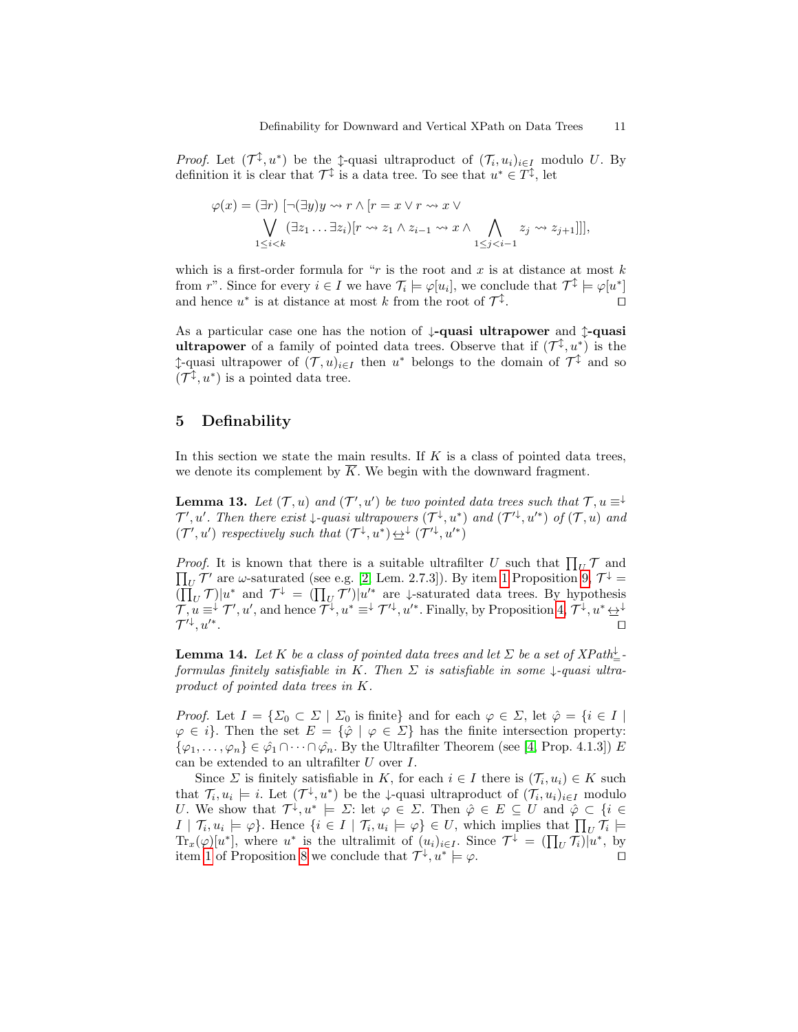*Proof.* Let  $(\mathcal{T}^{\updownarrow}, u^*)$  be the  $\updownarrow$ -quasi ultraproduct of  $(\mathcal{T}_i, u_i)_{i \in I}$  modulo U. By definition it is clear that  $\mathcal{T}^{\updownarrow}$  is a data tree. To see that  $u^* \in \mathcal{T}^{\updownarrow}$ , let

ϕ(x) = (∃r) [¬(∃y)y r ∧ [r = x ∨ r x ∨ \_ 1≤i<k (∃z<sup>1</sup> . . . ∃zi)[r z<sup>1</sup> ∧ zi−<sup>1</sup> x ∧ ^ 1≤j<i−1 z<sup>j</sup> zj+1]]],

which is a first-order formula for " $r$  is the root and  $x$  is at distance at most  $k$ from r". Since for every  $i \in I$  we have  $\mathcal{T}_i \models \varphi[u_i]$ , we conclude that  $\mathcal{T}^{\updownarrow} \models \varphi[u^*]$ and hence  $u^*$  is at distance at most k from the root of  $\mathcal{T}^{\updownarrow}$ . The contract of  $\Box$ 

As a particular case one has the notion of  $\downarrow$ -quasi ultrapower and  $\uparrow$ -quasi **ultrapower** of a family of pointed data trees. Observe that if  $(\mathcal{T}^{\updownarrow}, u^*)$  is the †-quasi ultrapower of  $(T, u)_{i \in I}$  then  $u^*$  belongs to the domain of  $\mathcal{T}^{\updownarrow}$  and so  $(\mathcal{T}^{\updownarrow}, u^*)$  is a pointed data tree.

# <span id="page-10-0"></span>5 Definability

In this section we state the main results. If  $K$  is a class of pointed data trees, we denote its complement by  $\overline{K}$ . We begin with the downward fragment.

<span id="page-10-2"></span>**Lemma 13.** Let  $(T, u)$  and  $(T', u')$  be two pointed data trees such that  $T, u \equiv^{\downarrow}$  $\mathcal{T}', u'$ . Then there exist  $\downarrow$ -quasi ultrapowers  $(\mathcal{T}^{\downarrow}, u^*)$  and  $(\mathcal{T}'^{\downarrow}, u'^*)$  of  $(\mathcal{T}, u)$  and  $(\mathcal{T}', u')$  respectively such that  $(\mathcal{T}^{\downarrow}, u^*) \underline{\leftrightarrow}^{\downarrow} (\mathcal{T}'^{\downarrow}, u'^*)$ 

*Proof.* It is known that there is a suitable ultrafilter U such that  $\prod_U \mathcal{T}$  and  $\prod_U \mathcal{T}'$  are  $\omega$ -saturated (see e.g. [\[2,](#page-14-13) Lem. 2.7.3]). By item [1](#page-8-0) Proposition [9,](#page-7-4)  $\mathcal{T}^{\downarrow} =$  $(\prod_U \mathcal{T})|u^*$  and  $\mathcal{T}^{\downarrow} = (\prod_U \mathcal{T}')|u'^*$  are  $\downarrow$ -saturated data trees. By hypothesis  $\mathcal{T}, u \equiv^{\downarrow} \mathcal{T}', u',$  and hence  $\mathcal{T}^{\downarrow}, u^* \equiv^{\downarrow} \mathcal{T}'^{\downarrow}, u'^*$ . Finally, by Proposition [4,](#page-5-2)  $\mathcal{T}^{\downarrow}, u^* \leftrightarrow^{\downarrow}$  $\mathcal{T}'^{\downarrow},u'^*$ . The contract of the contract of the contract of the contract of  $\Box$ 

<span id="page-10-1"></span>**Lemma 14.** Let K be a class of pointed data trees and let  $\Sigma$  be a set of XPath $\frac{1}{2}$ formulas finitely satisfiable in K. Then  $\Sigma$  is satisfiable in some  $\downarrow$ -quasi ultraproduct of pointed data trees in K.

*Proof.* Let  $I = \{\Sigma_0 \subset \Sigma \mid \Sigma_0 \text{ is finite}\}\$ and for each  $\varphi \in \Sigma$ , let  $\hat{\varphi} = \{i \in I \mid \Sigma_0 \in \Sigma_0\}$  $\varphi \in i$ . Then the set  $E = {\varphi \mid \varphi \in \Sigma}$  has the finite intersection property:  $\{\varphi_1,\ldots,\varphi_n\} \in \hat{\varphi_1} \cap \cdots \cap \hat{\varphi_n}$ . By the Ultrafilter Theorem (see [\[4,](#page-14-4) Prop. 4.1.3]) E can be extended to an ultrafilter U over I.

<span id="page-10-3"></span>Since  $\Sigma$  is finitely satisfiable in K, for each  $i \in I$  there is  $(\mathcal{T}_i, u_i) \in K$  such that  $\mathcal{T}_i, u_i \models i$ . Let  $(\mathcal{T}^{\downarrow}, u^*)$  be the  $\downarrow$ -quasi ultraproduct of  $(\mathcal{T}_i, u_i)_{i \in I}$  modulo U. We show that  $\mathcal{T}^{\downarrow}, u^* \models \Sigma$ : let  $\varphi \in \Sigma$ . Then  $\hat{\varphi} \in E \subseteq U$  and  $\hat{\varphi} \subset \{i \in$  $I | \mathcal{T}_i, u_i \models \varphi$ . Hence  $\{i \in I | \mathcal{T}_i, u_i \models \varphi\} \in U$ , which implies that  $\prod_U \mathcal{T}_i \models$  $\text{Tr}_x(\varphi)[u^*],$  where  $u^*$  is the ultralimit of  $(u_i)_{i\in I}$ . Since  $\mathcal{T}^{\downarrow} = (\prod_U \mathcal{T}_i)|u^*$ , by item [1](#page-7-1) of Proposition [8](#page-7-2) we conclude that  $\mathcal{T}^{\downarrow}, u^* \models \varphi$ .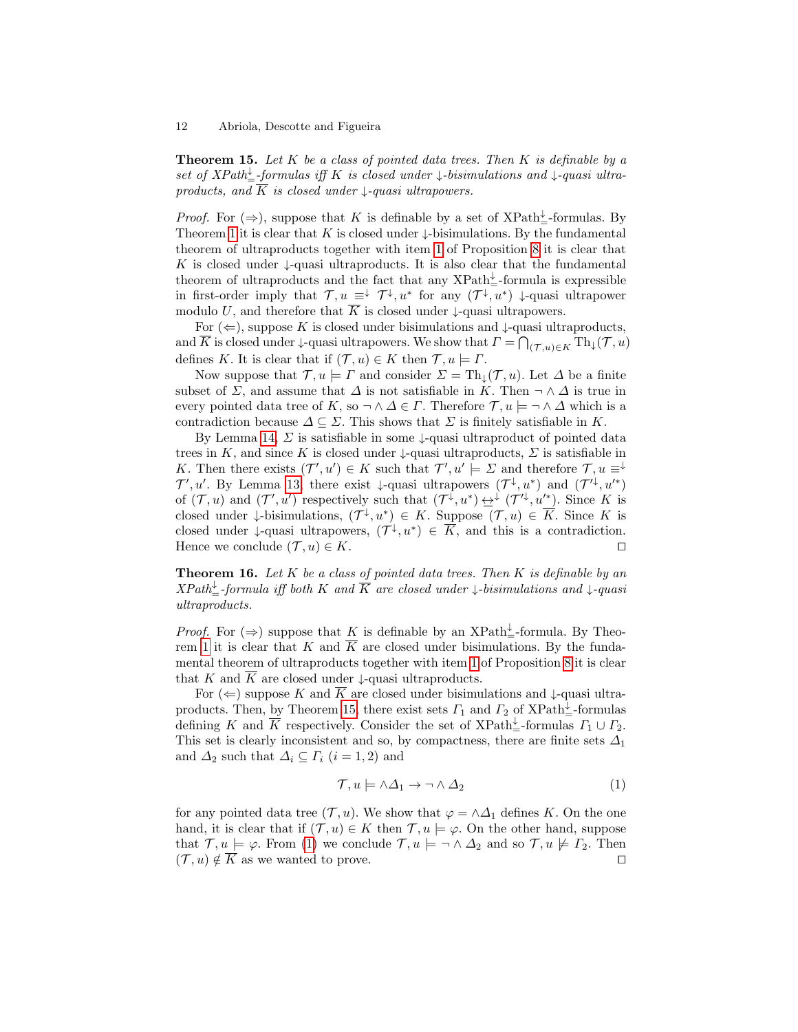**Theorem 15.** Let K be a class of pointed data trees. Then K is definable by a set of  $XPath_{\pm}^{\downarrow}$ -formulas iff K is closed under  $\downarrow$ -bisimulations and  $\downarrow$ -quasi ultraproducts, and K is closed under  $\downarrow$ -quasi ultrapowers.

*Proof.* For  $(\Rightarrow)$ , suppose that K is definable by a set of XPath<sup>1</sup><sub>=</sub>-formulas. By Theorem [1](#page-4-4) it is clear that K is closed under  $\downarrow$ -bisimulations. By the fundamental theorem of ultraproducts together with item [1](#page-7-1) of Proposition [8](#page-7-2) it is clear that K is closed under  $\downarrow$ -quasi ultraproducts. It is also clear that the fundamental theorem of ultraproducts and the fact that any  $XPath_{\pm}^{\downarrow}$ -formula is expressible in first-order imply that  $\mathcal{T}, u \equiv^{\downarrow} \mathcal{T}^{\downarrow}, u^*$  for any  $(\mathcal{T}^{\downarrow}, u^*)$   $\downarrow$ -quasi ultrapower modulo U, and therefore that  $\overline{K}$  is closed under  $\downarrow$ -quasi ultrapowers.

For  $(\Leftarrow)$ , suppose K is closed under bisimulations and  $\downarrow$ -quasi ultraproducts, and  $\overline{K}$  is closed under  $\downarrow$ -quasi ultrapowers. We show that  $\Gamma = \bigcap_{(\mathcal{T},u) \in K} \mathrm{Th}_{\downarrow}(\mathcal{T}, u)$ defines K. It is clear that if  $(\mathcal{T}, u) \in K$  then  $\mathcal{T}, u \models \Gamma$ .

Now suppose that  $\mathcal{T}, u \models \Gamma$  and consider  $\Sigma = \text{Th}_{\mathbb{L}}(\mathcal{T}, u)$ . Let  $\Delta$  be a finite subset of  $\Sigma$ , and assume that  $\Delta$  is not satisfiable in K. Then  $\neg \wedge \Delta$  is true in every pointed data tree of K, so  $\neg \land \Delta \in \Gamma$ . Therefore  $\mathcal{T}, u \models \neg \land \Delta$  which is a contradiction because  $\Delta \subseteq \Sigma$ . This shows that  $\Sigma$  is finitely satisfiable in K.

By Lemma [14,](#page-10-1)  $\Sigma$  is satisfiable in some  $\downarrow$ -quasi ultraproduct of pointed data trees in K, and since K is closed under  $\downarrow$ -quasi ultraproducts,  $\Sigma$  is satisfiable in K. Then there exists  $(\mathcal{T}', u') \in K$  such that  $\mathcal{T}', u' \models \Sigma$  and therefore  $\mathcal{T}, u \equiv^{\downarrow}$  $\mathcal{T}', u'$ . By Lemma [13,](#page-10-2) there exist  $\downarrow$ -quasi ultrapowers  $(\mathcal{T}^{\downarrow}, u^*)$  and  $(\mathcal{T}'^{\downarrow}, u'^*)$ of  $(\mathcal{T}, u)$  and  $(\mathcal{T}', u')$  respectively such that  $(\mathcal{T}^{\downarrow}, u^*) \leftrightarrow (\mathcal{T}'^{\downarrow}, u'^*)$ . Since K is closed under  $\downarrow$ -bisimulations,  $(\mathcal{T}^{\downarrow}, u^*) \in K$ . Suppose  $(\mathcal{T}, u) \in \overline{K}$ . Since K is closed under  $\downarrow$ -quasi ultrapowers,  $(\mathcal{T}^{\downarrow}, u^*) \in \overline{K}$ , and this is a contradiction. Hence we conclude  $(\mathcal{T}, u) \in K$ .

<span id="page-11-1"></span>**Theorem 16.** Let  $K$  be a class of pointed data trees. Then  $K$  is definable by an  $XPath^\downarrow_\equiv$ -formula iff both K and  $\overline{K}$  are closed under  $\downarrow$ -bisimulations and  $\downarrow$ -quasi ultraproducts.

*Proof.* For  $(\Rightarrow)$  suppose that K is definable by an XPath<sup>1</sup> -formula. By Theo-rem [1](#page-4-4) it is clear that K and  $\overline{K}$  are closed under bisimulations. By the fundamental theorem of ultraproducts together with item [1](#page-7-1) of Proposition [8](#page-7-2) it is clear that K and K are closed under  $\downarrow$ -quasi ultraproducts.

For  $(\Leftarrow)$  suppose K and  $\overline{K}$  are closed under bisimulations and  $\downarrow$ -quasi ultra-products. Then, by Theorem [15,](#page-10-3) there exist sets  $\Gamma_1$  and  $\Gamma_2$  of XPath<sup>1</sup> =-formulas defining K and  $\overline{K}$  respectively. Consider the set of XPath<sup> $\downarrow$ </sup>-formulas  $\Gamma_1 \cup \Gamma_2$ . This set is clearly inconsistent and so, by compactness, there are finite sets  $\Delta_1$ and  $\Delta_2$  such that  $\Delta_i \subseteq \Gamma_i$   $(i = 1, 2)$  and

<span id="page-11-0"></span>
$$
\mathcal{T}, u \models \wedge \Delta_1 \to \neg \wedge \Delta_2 \tag{1}
$$

for any pointed data tree  $(\mathcal{T}, u)$ . We show that  $\varphi = \wedge \Delta_1$  defines K. On the one hand, it is clear that if  $(\mathcal{T}, u) \in K$  then  $\mathcal{T}, u \models \varphi$ . On the other hand, suppose that  $\mathcal{T}, u \models \varphi$ . From [\(1\)](#page-11-0) we conclude  $\mathcal{T}, u \models \neg \wedge \Delta_2$  and so  $\mathcal{T}, u \not\models \Gamma_2$ . Then  $(\mathcal{T}, u) \notin \overline{K}$  as we wanted to prove.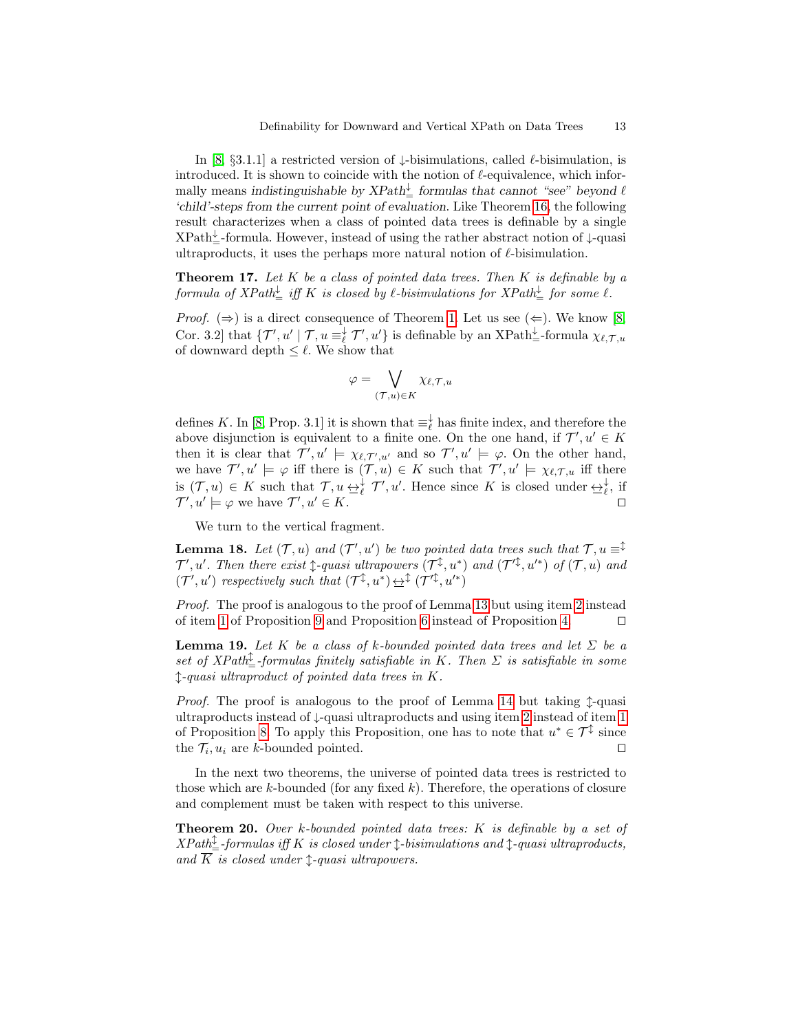In [\[8,](#page-14-3) §3.1.1] a restricted version of  $\downarrow$ -bisimulations, called  $\ell$ -bisimulation, is introduced. It is shown to coincide with the notion of  $\ell$ -equivalence, which informally means indistinguishable by  $XPath_{\pm}^{\downarrow}$  formulas that cannot "see" beyond  $\ell$ 'child'-steps from the current point of evaluation. Like Theorem [16,](#page-11-1) the following result characterizes when a class of pointed data trees is definable by a single  $XPath^{\downarrow}_{=}$ -formula. However, instead of using the rather abstract notion of  $\downarrow$ -quasi ultraproducts, it uses the perhaps more natural notion of  $\ell$ -bisimulation.

<span id="page-12-2"></span>**Theorem 17.** Let  $K$  be a class of pointed data trees. Then  $K$  is definable by a  ${\it formula \ of \ } XPath^\downarrow_{=} \ {\it iff \ } K \ {\it is \ closed \ by \ } \ell\text{-bisimulations for } XPath^\downarrow_{=} \ {\it for \ some \ } \ell\text{.}}$ 

*Proof.* ( $\Rightarrow$ ) is a direct consequence of Theorem [1.](#page-4-4) Let us see ( $\Leftarrow$ ). We know [\[8,](#page-14-3) Cor. 3.2] that  $\{\mathcal{T}', u' \mid \mathcal{T}, u \equiv_{\ell}^{\downarrow} \mathcal{T}', u'\}$  is definable by an XPath<sup>1</sup><sub>=</sub>-formula  $\chi_{\ell, \mathcal{T}, u'}$ of downward depth  $\leq \ell$ . We show that

<span id="page-12-1"></span>
$$
\varphi = \bigvee_{(\mathcal{T},u)\in K} \chi_{\ell,\mathcal{T},u}
$$

defines K. In [\[8,](#page-14-3) Prop. 3.1] it is shown that  $\equiv_{\ell}^{\downarrow}$  has finite index, and therefore the above disjunction is equivalent to a finite one. On the one hand, if  $\mathcal{T}', u' \in K$ then it is clear that  $\mathcal{T}', u' \models \chi_{\ell, \mathcal{T}', u'}$  and so  $\mathcal{T}', u' \models \varphi$ . On the other hand, we have  $\mathcal{T}', u' \models \varphi$  iff there is  $(\mathcal{T}, u) \in K$  such that  $\mathcal{T}', u' \models \chi_{\ell, \mathcal{T}, u}$  iff there is  $(\mathcal{T}, u) \in K$  such that  $\mathcal{T}, u \leftrightarrow^{\downarrow}_{\ell} \mathcal{T}', u'$ . Hence since K is closed under  $\leftrightarrow^{\downarrow}_{\ell}$ , if  $\mathcal{T}', u' \models \varphi$  we have  $\mathcal{T}', u' \in K$ .

We turn to the vertical fragment.

**Lemma 18.** Let  $(\mathcal{T}, u)$  and  $(\mathcal{T}', u')$  be two pointed data trees such that  $\mathcal{T}, u \equiv^{\hat{\downarrow}}$  $\mathcal{T}', u'$ . Then there exist  $\downarrow$ -quasi ultrapowers  $(\mathcal{T}^{\updownarrow}, u^*)$  and  $(\mathcal{T}'^{\downarrow}, u'^*)$  of  $(\mathcal{T}, u)$  and  $(\mathcal{T}', u')$  respectively such that  $(\mathcal{T}^{\updownarrow}, u^*) \underline{\leftrightarrow}^{\updownarrow} (\mathcal{T}'^{\updownarrow}, u'^*)$ 

Proof. The proof is analogous to the proof of Lemma [13](#page-10-2) but using item [2](#page-8-3) instead of item [1](#page-8-0) of Proposition [9](#page-7-4) and Proposition [6](#page-6-3) instead of Proposition [4.](#page-5-2)  $\Box$ 

<span id="page-12-0"></span>**Lemma 19.** Let K be a class of k-bounded pointed data trees and let  $\Sigma$  be a set of  $XPath_{\equiv}^{\updownarrow}$ -formulas finitely satisfiable in K. Then  $\Sigma$  is satisfiable in some l-quasi ultraproduct of pointed data trees in K.

*Proof.* The proof is analogous to the proof of Lemma [14](#page-10-1) but taking  $\hat{\mathcal{L}}$ -quasi ultraproducts instead of ↓-quasi ultraproducts and using item [2](#page-7-3) instead of item [1](#page-7-1) of Proposition [8.](#page-7-2) To apply this Proposition, one has to note that  $u^* \in \mathcal{T}^{\updownarrow}$  since the  $\mathcal{T}_i, u_i$  are k-bounded pointed.

In the next two theorems, the universe of pointed data trees is restricted to those which are  $k$ -bounded (for any fixed  $k$ ). Therefore, the operations of closure and complement must be taken with respect to this universe.

<span id="page-12-3"></span>**Theorem 20.** Over k-bounded pointed data trees:  $K$  is definable by a set of  $XPath^{\updownarrow}_{=}$ -formulas iff K is closed under  $\updownarrow$ -bisimulations and  $\updownarrow$ -quasi ultraproducts, and  $\overline{K}$  is closed under  $\uparrow$ -quasi ultrapowers.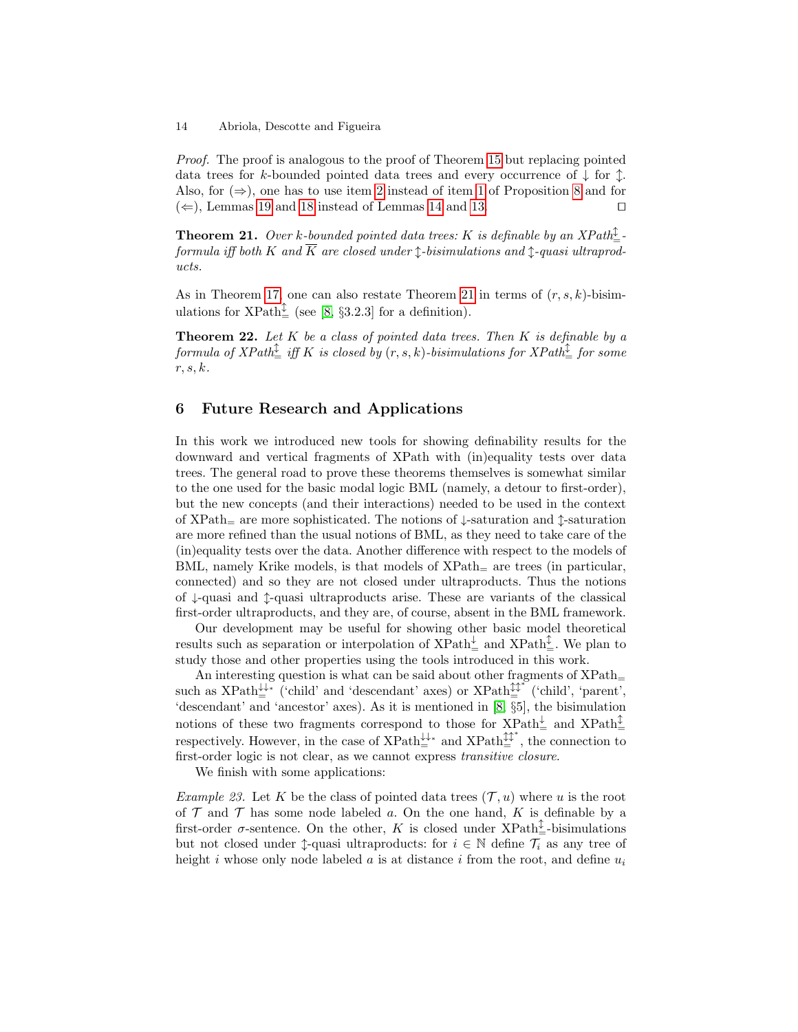Proof. The proof is analogous to the proof of Theorem [15](#page-10-3) but replacing pointed data trees for k-bounded pointed data trees and every occurrence of  $\downarrow$  for  $\uparrow$ . Also, for  $(\Rightarrow)$ , one has to use item [2](#page-7-3) instead of item [1](#page-7-1) of Proposition [8](#page-7-2) and for  $(\Leftarrow)$ , Lemmas [19](#page-12-0) and [18](#page-12-1) instead of Lemmas [14](#page-10-1) and [13.](#page-10-2)

<span id="page-13-1"></span>**Theorem 21.** Over k-bounded pointed data trees: K is definable by an XPath $\frac{1}{2}$ formula iff both K and  $\overline{K}$  are closed under 1-bisimulations and 1-quasi ultraproducts.

As in Theorem [17,](#page-12-2) one can also restate Theorem [21](#page-13-1) in terms of  $(r, s, k)$ -bisimulations for  $XPath_{\equiv}^{\updownarrow}$  (see [\[8,](#page-14-3) §3.2.3] for a definition).

**Theorem 22.** Let  $K$  be a class of pointed data trees. Then  $K$  is definable by a  ${\it formula of}~XPath^{\hat\updownarrow}_\equiv ~iff~K~~is~closed~by~ (r,s,k)~-bisimulations~for~XPath^{\hat\downarrow}_\equiv~for~some~$ r, s, k.

# <span id="page-13-0"></span>6 Future Research and Applications

In this work we introduced new tools for showing definability results for the downward and vertical fragments of XPath with (in)equality tests over data trees. The general road to prove these theorems themselves is somewhat similar to the one used for the basic modal logic BML (namely, a detour to first-order), but the new concepts (and their interactions) needed to be used in the context of XPath<sub>=</sub> are more sophisticated. The notions of  $\downarrow$ -saturation and  $\uparrow$ -saturation are more refined than the usual notions of BML, as they need to take care of the (in)equality tests over the data. Another difference with respect to the models of BML, namely Krike models, is that models of  $XPath<sub>=</sub>$  are trees (in particular, connected) and so they are not closed under ultraproducts. Thus the notions of ↓-quasi and l-quasi ultraproducts arise. These are variants of the classical first-order ultraproducts, and they are, of course, absent in the BML framework.

Our development may be useful for showing other basic model theoretical results such as separation or interpolation of  $XPath_{\equiv}^{\downarrow}$  and  $XPath_{\equiv}^{\updownarrow}$ . We plan to study those and other properties using the tools introduced in this work.

An interesting question is what can be said about other fragments of  $XPath$ such as  $XPath_{\equiv}^{\downarrow\downarrow*}$  ('child' and 'descendant' axes) or  $XPath_{\equiv}^{\uparrow\downarrow*}$  ('child', 'parent', 'descendant' and 'ancestor' axes). As it is mentioned in [\[8,](#page-14-3) §5], the bisimulation notions of these two fragments correspond to those for  $XPath_{\equiv}^{\downarrow}$  and  $XPath_{\equiv}^{\updownarrow}$ respectively. However, in the case of  $\widehat{XPath}^{\downarrow\downarrow*}_{\equiv}$  and  $\widehat{XPath}^{\downarrow\downarrow*}_{\equiv}$ , the connection to first-order logic is not clear, as we cannot express transitive closure.

We finish with some applications:

Example 23. Let K be the class of pointed data trees  $(\mathcal{T}, u)$  where u is the root of  $\mathcal T$  and  $\mathcal T$  has some node labeled a. On the one hand, K is definable by a first-order  $\sigma$ -sentence. On the other, K is closed under XPath<sup> $\hat{\updownarrow}$ </sup>-bisimulations but not closed under  $\uparrow$ -quasi ultraproducts: for  $i \in \mathbb{N}$  define  $\mathcal{T}_i$  as any tree of height i whose only node labeled a is at distance i from the root, and define  $u_i$